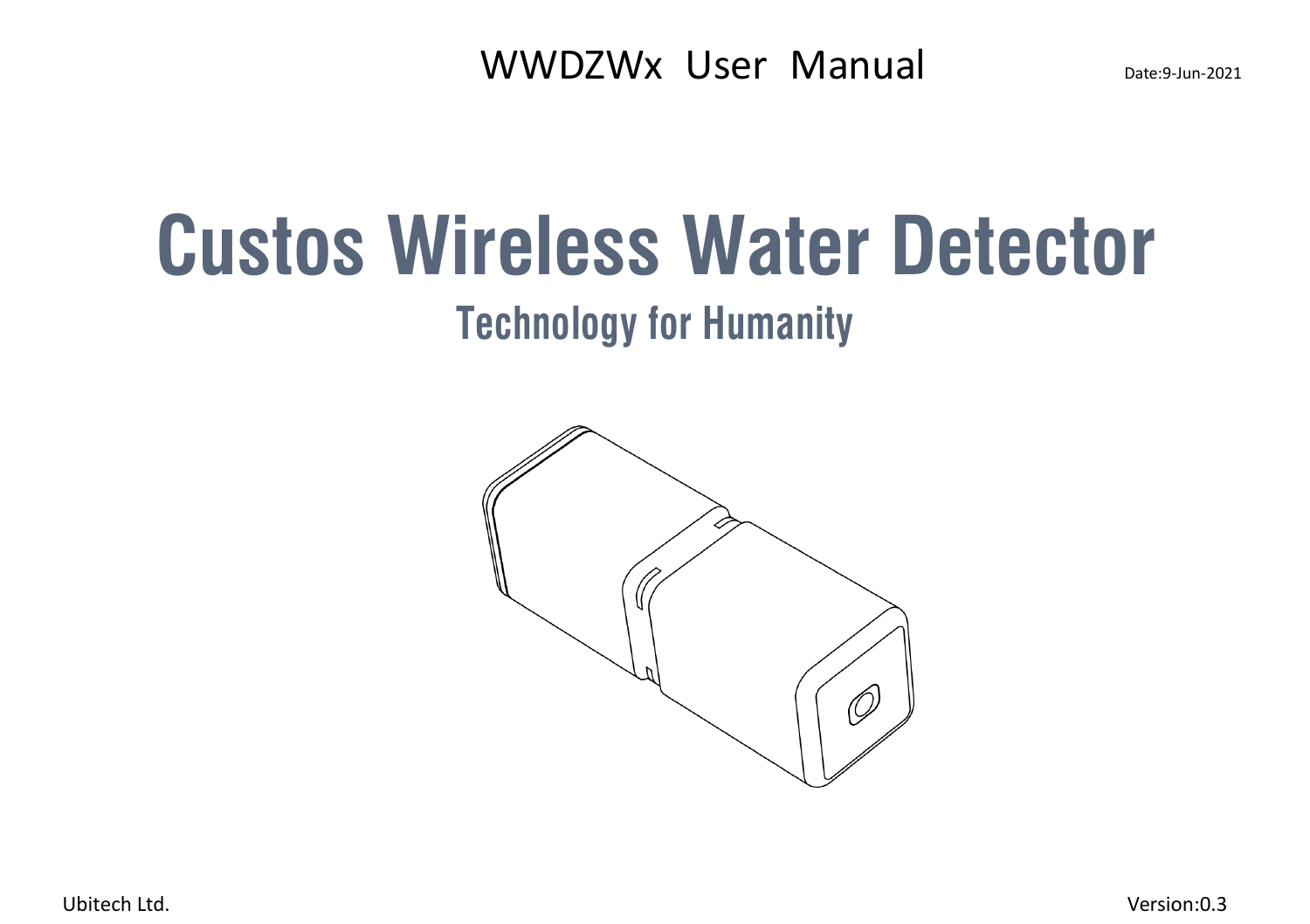**Custos Wireless Water Detector**

**Technology for Humanity**



Ubitech Ltd. Version:0.3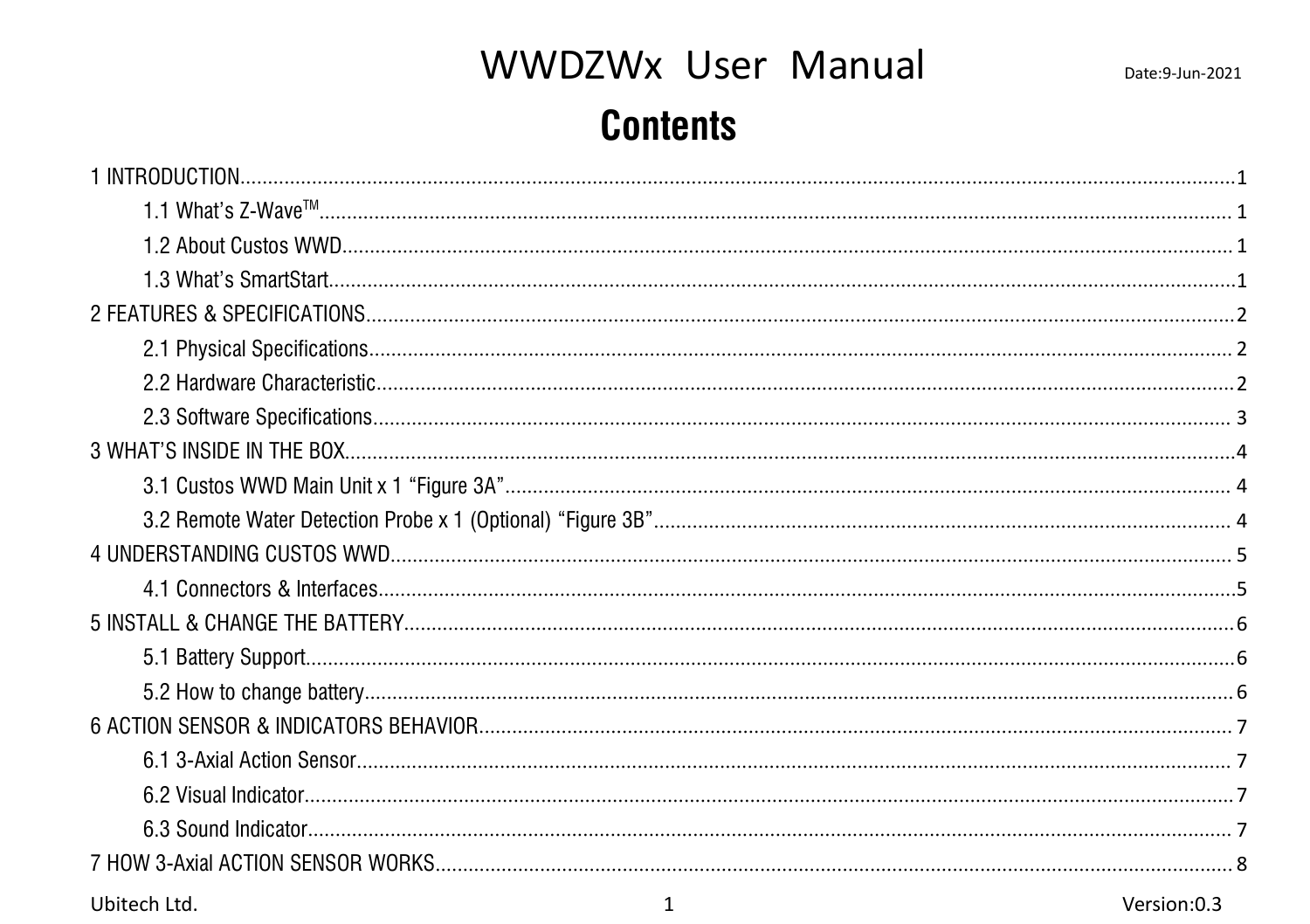## WWDZWx User Manual

### **Contents**

| Ubitech Ltd. | 1 | Version:0.3 |
|--------------|---|-------------|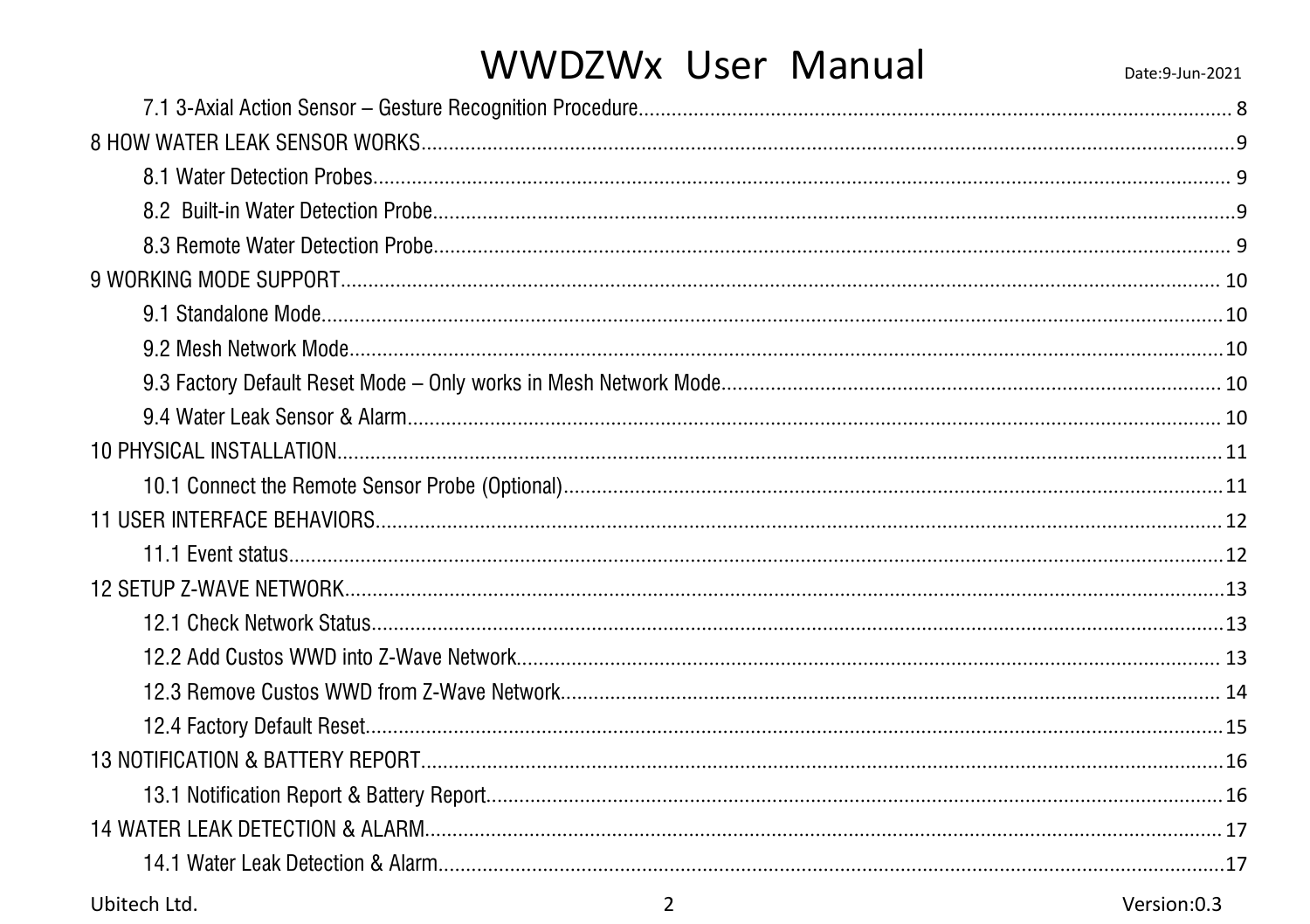### WWDZWx User Manual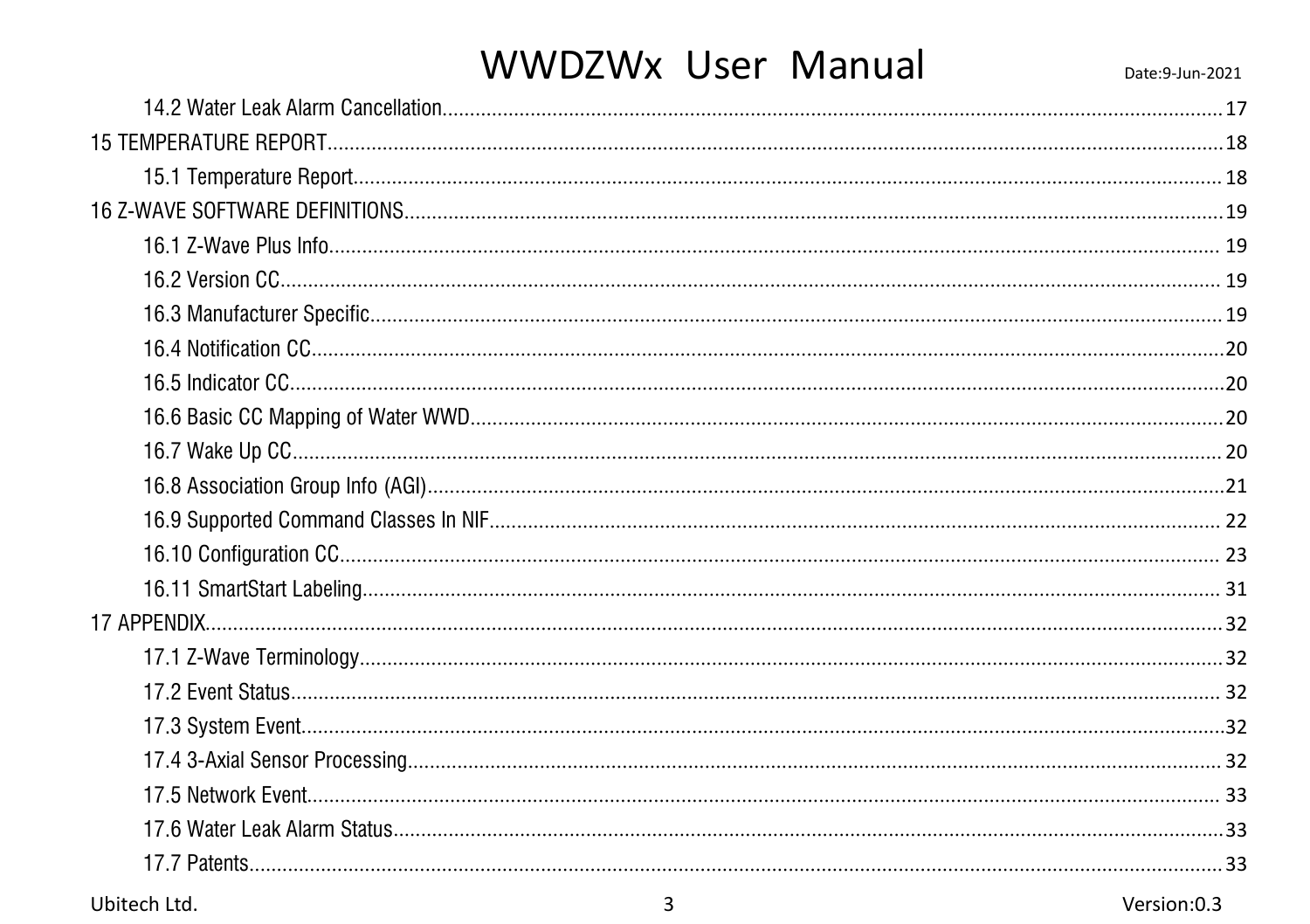## WWDZWx User Manual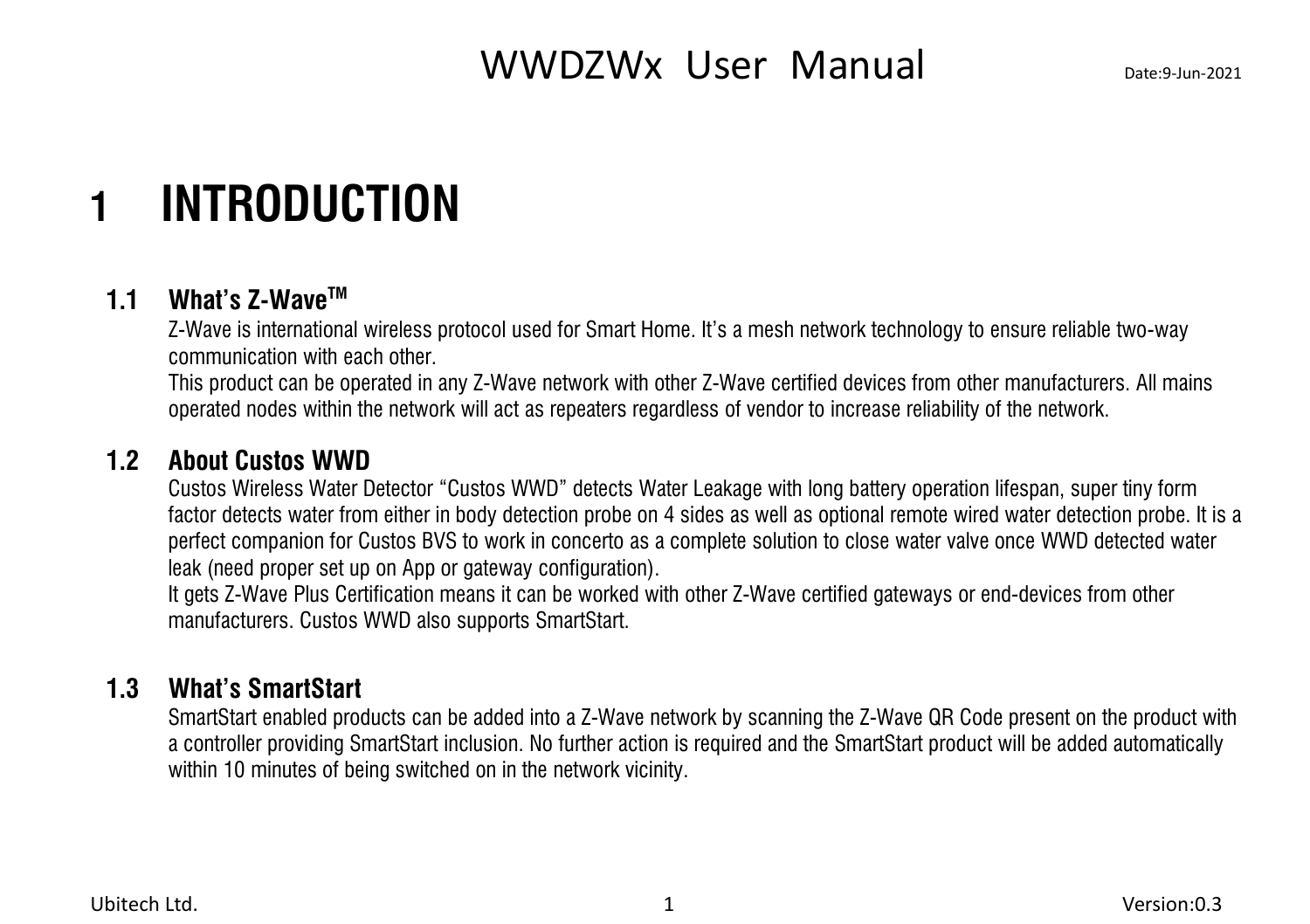## <span id="page-4-0"></span>**1 INTRODUCTION**

#### **1.1 What's Z-Wave TM**

<span id="page-4-1"></span>Z-Wave is international wireless protocol used for Smart Home. It's a mesh network technology to ensure reliable two-way communication with each other.

This product can be operated in any Z-Wave network with other Z-Wave certified devices from other manufacturers. All mains operated nodes within the network will act as repeaters regardless of vendor to increase reliability of the network.

#### **1.2 About Custos WWD**

<span id="page-4-2"></span>Custos Wireless Water Detector "Custos WWD" detects Water Leakage with long battery operation lifespan, super tiny form factor detects water from either in body detection probe on 4 sides as well as optional remote wired water detection probe. It is a perfect companion for Custos BVS towork in concerto as a complete solution to close water valve once WWD detected water leak (need proper set up on App or gateway configuration).

It gets Z-Wave Plus Certification means it can be worked with other Z-Wave certified gateways or end-devices from other manufacturers. Custos WWD also supports SmartStart.

#### **1.3 What's SmartStart**

<span id="page-4-3"></span>SmartStart enabled products can be added into a Z-Wave network by scanning the Z-Wave QR Code present on the product with a controller providing SmartStartinclusion. No further action is required and the SmartStart product will be added automatically within 10 minutes of being switched on in the network vicinity.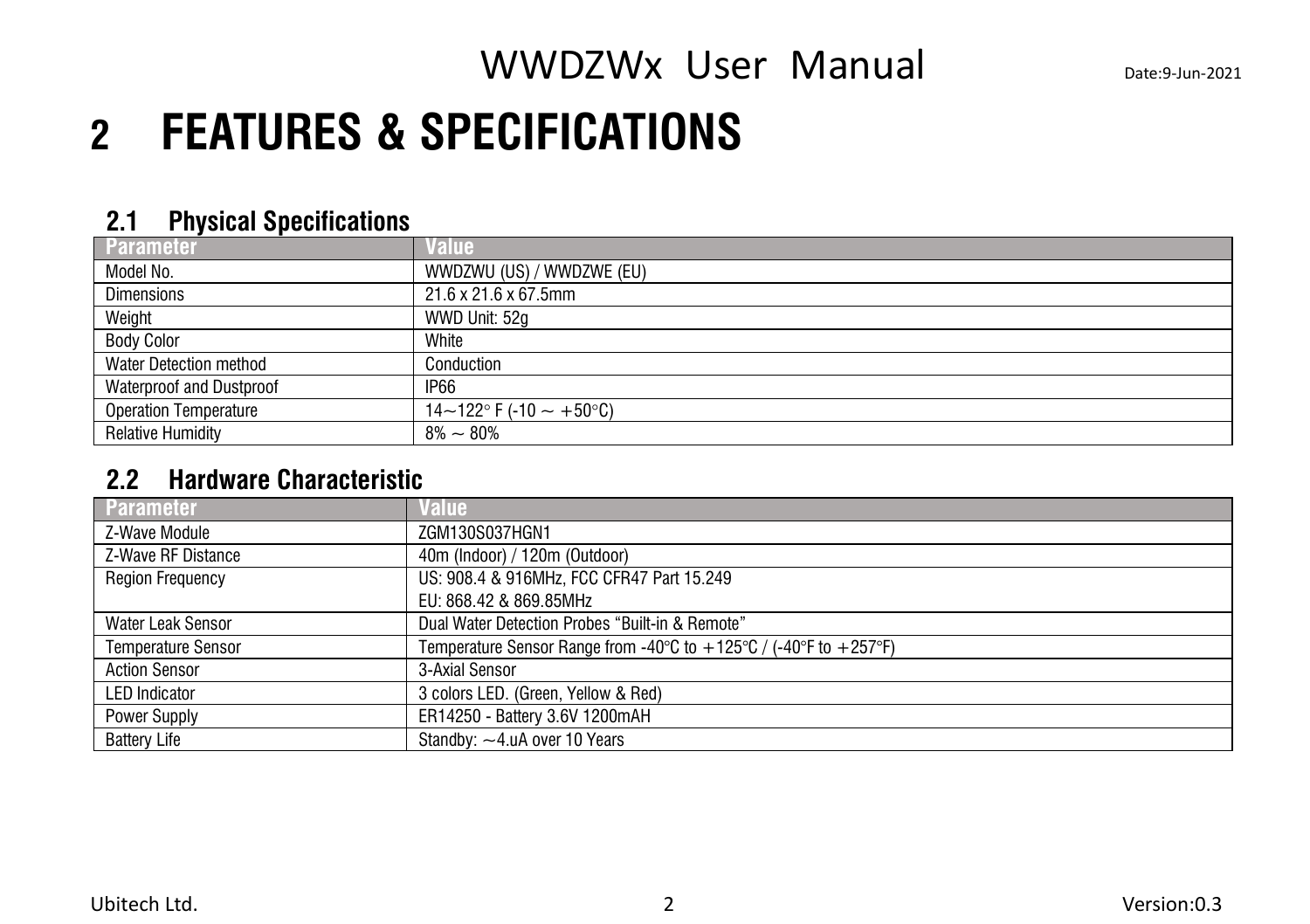## <span id="page-5-0"></span>**2 FEATURES & SPECIFICATIONS**

#### <span id="page-5-1"></span>**2.1 Physical Specifications**

| Parameter                    | Value                     |
|------------------------------|---------------------------|
| Model No.                    | WWDZWU (US) / WWDZWE (EU) |
| <b>Dimensions</b>            | 21.6 x 21.6 x 67.5mm      |
| Weight                       | WWD Unit: 52g             |
| <b>Body Color</b>            | White                     |
| Water Detection method       | Conduction                |
| Waterproof and Dustproof     | IP <sub>66</sub>          |
| <b>Operation Temperature</b> | 14~122° F (-10 ~ +50°C)   |
| <b>Relative Humidity</b>     | $8\% \sim 80\%$           |

### <span id="page-5-2"></span>**2.2 Hardware Characteristic**

| Parameter                 | <b>Value</b>                                                                                              |
|---------------------------|-----------------------------------------------------------------------------------------------------------|
| Z-Wave Module             | ZGM130S037HGN1                                                                                            |
| Z-Wave RF Distance        | 40m (Indoor) / 120m (Outdoor)                                                                             |
| <b>Region Frequency</b>   | US: 908.4 & 916MHz, FCC CFR47 Part 15.249                                                                 |
|                           | EU: 868.42 & 869.85MHz                                                                                    |
| <b>Water Leak Sensor</b>  | Dual Water Detection Probes "Built-in & Remote"                                                           |
| <b>Temperature Sensor</b> | Temperature Sensor Range from -40 $\degree$ C to +125 $\degree$ C / (-40 $\degree$ F to +257 $\degree$ F) |
| <b>Action Sensor</b>      | 3-Axial Sensor                                                                                            |
| <b>LED Indicator</b>      | 3 colors LED. (Green, Yellow & Red)                                                                       |
| Power Supply              | ER14250 - Battery 3.6V 1200mAH                                                                            |
| <b>Battery Life</b>       | Standby: $-4.\mu$ A over 10 Years                                                                         |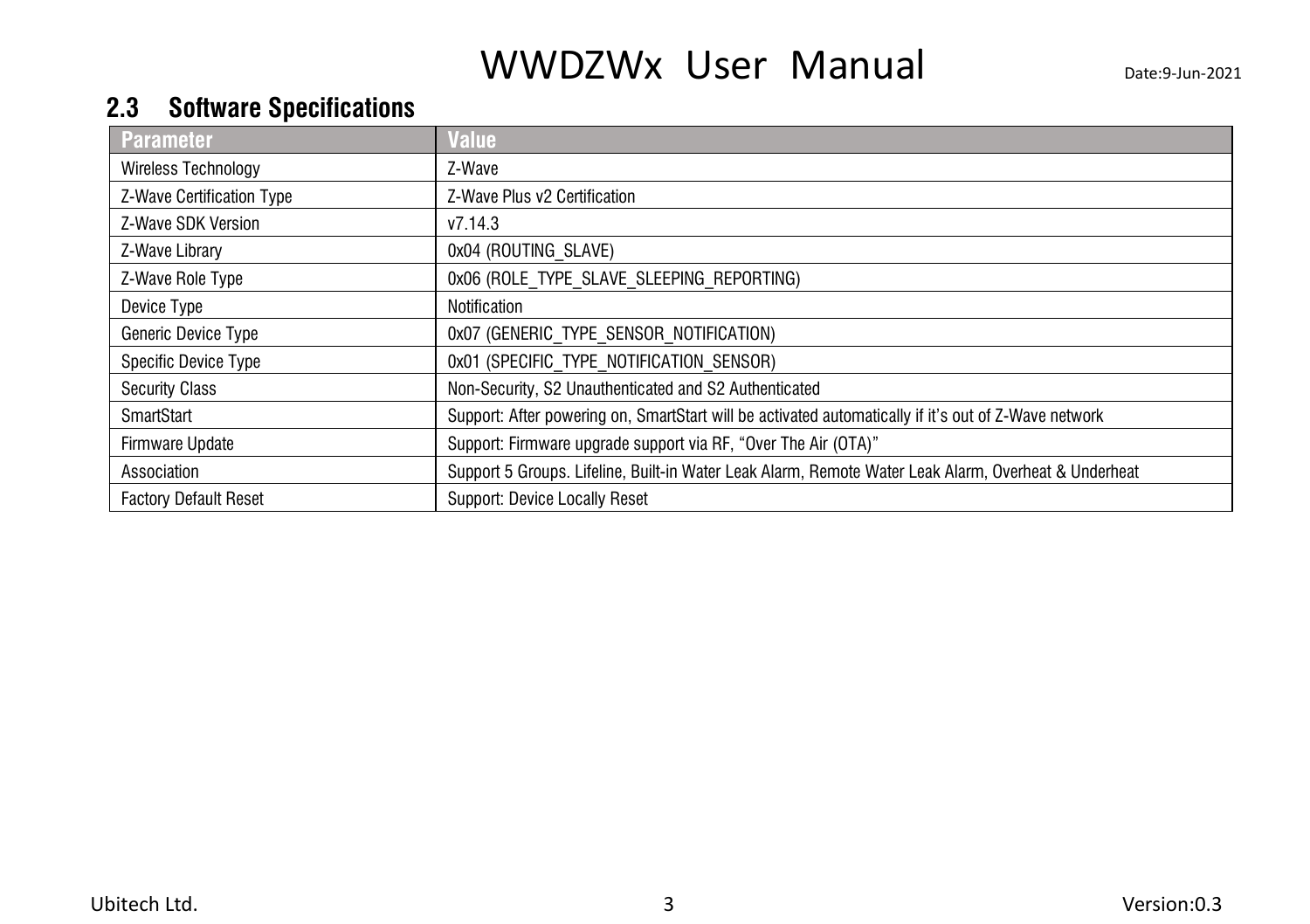### <span id="page-6-0"></span>**2.3 Software Specifications**

| <b>Parameter</b>             | <b>Value</b>                                                                                         |
|------------------------------|------------------------------------------------------------------------------------------------------|
| <b>Wireless Technology</b>   | Z-Wave                                                                                               |
| Z-Wave Certification Type    | Z-Wave Plus v2 Certification                                                                         |
| Z-Wave SDK Version           | v7.14.3                                                                                              |
| Z-Wave Library               | 0x04 (ROUTING SLAVE)                                                                                 |
| Z-Wave Role Type             | 0x06 (ROLE TYPE SLAVE SLEEPING REPORTING)                                                            |
| Device Type                  | Notification                                                                                         |
| Generic Device Type          | 0x07 (GENERIC TYPE SENSOR NOTIFICATION)                                                              |
| Specific Device Type         | 0x01 (SPECIFIC TYPE NOTIFICATION SENSOR)                                                             |
| <b>Security Class</b>        | Non-Security, S2 Unauthenticated and S2 Authenticated                                                |
| SmartStart                   | Support: After powering on, SmartStart will be activated automatically if it's out of Z-Wave network |
| Firmware Update              | Support: Firmware upgrade support via RF, "Over The Air (OTA)"                                       |
| Association                  | Support 5 Groups. Lifeline, Built-in Water Leak Alarm, Remote Water Leak Alarm, Overheat & Underheat |
| <b>Factory Default Reset</b> | Support: Device Locally Reset                                                                        |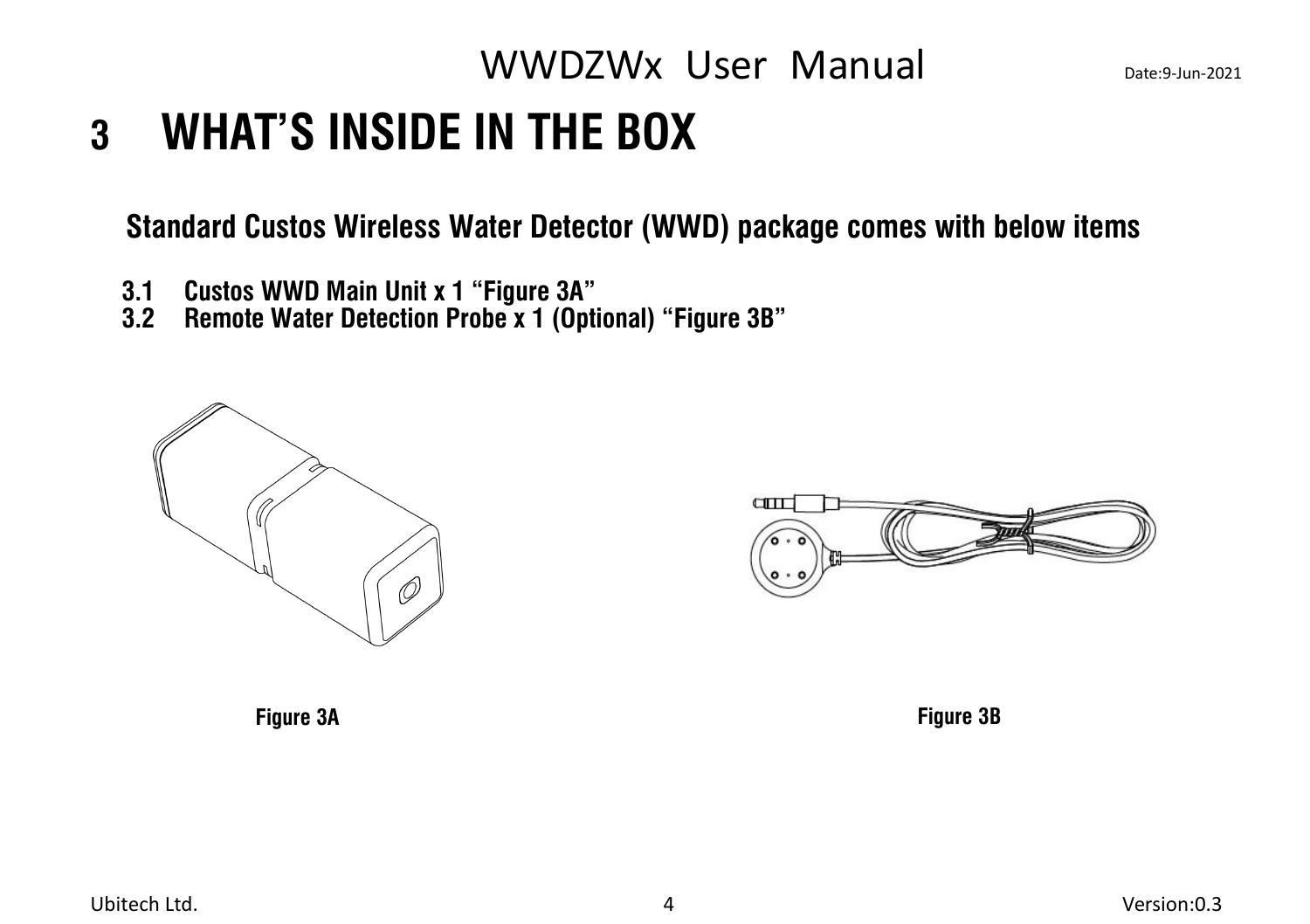## <span id="page-7-0"></span>**3 WHAT'S INSIDE IN THE BOX**

**Standard Custos Wireless Water Detector (WWD) package comes with below items**

- <span id="page-7-2"></span><span id="page-7-1"></span>
- 3.1 Custos WWD Main Unit x 1 "Figure 3A"<br>3.2 Remote Water Detection Probe x 1 (Optional) "Figure 3B"





**Figure 3A Figure 3B**

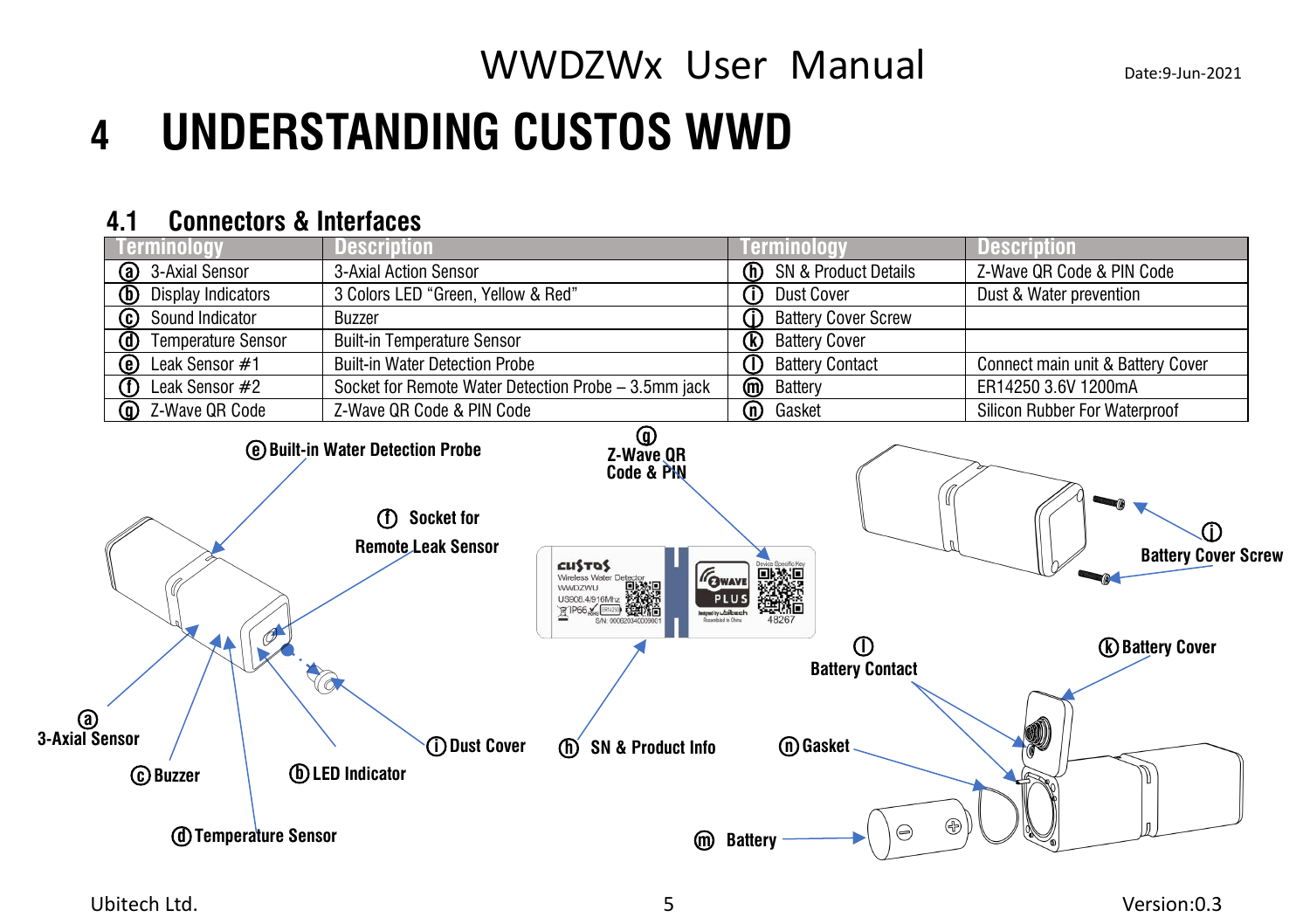## <span id="page-8-0"></span>**4 UNDERSTANDING CUSTOS WWD**

#### <span id="page-8-1"></span>**4.1 Connectors & Interfaces**

| erminology                                  | <b>Description</b>                                                                             |                                                                                                                                                                                                                                                                                                                                                                                                                                                                                                     | ierminology                                                | <b>Description</b>                |
|---------------------------------------------|------------------------------------------------------------------------------------------------|-----------------------------------------------------------------------------------------------------------------------------------------------------------------------------------------------------------------------------------------------------------------------------------------------------------------------------------------------------------------------------------------------------------------------------------------------------------------------------------------------------|------------------------------------------------------------|-----------------------------------|
| ◙<br>3-Axial Sensor                         | 3-Axial Action Sensor                                                                          |                                                                                                                                                                                                                                                                                                                                                                                                                                                                                                     | $\overline{\mathbb{O}}$<br>SN & Product Details            | Z-Wave QR Code & PIN Code         |
| $^{\circledR}$<br><b>Display Indicators</b> | 3 Colors LED "Green, Yellow & Red"                                                             |                                                                                                                                                                                                                                                                                                                                                                                                                                                                                                     | ወ<br>Dust Cover                                            | Dust & Water prevention           |
| $\overline{\mathbb{G}}$<br>Sound Indicator  | <b>Buzzer</b>                                                                                  |                                                                                                                                                                                                                                                                                                                                                                                                                                                                                                     | ⋒<br><b>Battery Cover Screw</b>                            |                                   |
| ⊚<br><b>Temperature Sensor</b>              | <b>Built-in Temperature Sensor</b>                                                             |                                                                                                                                                                                                                                                                                                                                                                                                                                                                                                     | $^{\circledR}$<br><b>Battery Cover</b>                     |                                   |
| ◉<br>Leak Sensor #1                         | <b>Built-in Water Detection Probe</b>                                                          |                                                                                                                                                                                                                                                                                                                                                                                                                                                                                                     | ጠ<br><b>Battery Contact</b>                                | Connect main unit & Battery Cover |
| Œ<br>Leak Sensor #2                         | Socket for Remote Water Detection Probe - 3.5mm jack                                           |                                                                                                                                                                                                                                                                                                                                                                                                                                                                                                     | $\overline{\mathbb{O}}$<br>Battery                         | ER14250 3.6V 1200mA               |
| ⋒<br>Z-Wave QR Code                         | Z-Wave QR Code & PIN Code                                                                      |                                                                                                                                                                                                                                                                                                                                                                                                                                                                                                     | $\overline{\mathbb{O}}$<br>Gasket                          | Silicon Rubber For Waterproof     |
|                                             | <b>@ Built-in Water Detection Probe</b><br>⊕<br><b>Socket for</b><br><b>Remote Leak Sensor</b> | ⊕<br>Z-Wave QR<br>Code & PIN<br>$\begin{array}{lcl}\n\text{L}\text{L}\$ \text{T}\& \text{S}\& \text{Water Dedgedy},\\ \text{Wreless Water Dededy}, & \text{E}\& \text{G}\& \text{G}\& \text{G}\& \text{G}\& \text{G}\& \text{G}\& \text{G}\& \text{G}\& \text{G}\& \text{G}\& \text{G}\& \text{G}\& \text{G}\& \text{G}\& \text{G}\& \text{G}\& \text{G}\& \text{G}\& \text{G}\& \text{G}\& \text{G}\& \text{G}\& \text{G}\& \text{G}\& \text{G}\& \text{G}\& \text{G}\& \$<br><b>GWAVE</b><br>PLUS | DANK                                                       | O)<br><b>Battery Cover Screw</b>  |
| ◉<br>3-Axial Sensor<br><b>C</b> Buzzer      | TO<br>(i) Dust Cover<br><b>(b)</b> LED Indicator                                               | Designed by while as a historical<br><b>SN &amp; Product Info</b><br>(m)                                                                                                                                                                                                                                                                                                                                                                                                                            | $^\copyright$<br><b>Battery Contact</b><br><b>M</b> Gasket | (k) Battery Cover                 |
|                                             | <b>(d) Temperature Sensor</b>                                                                  | ⋒                                                                                                                                                                                                                                                                                                                                                                                                                                                                                                   | $\circledast$<br>⊜<br><b>Battery</b>                       |                                   |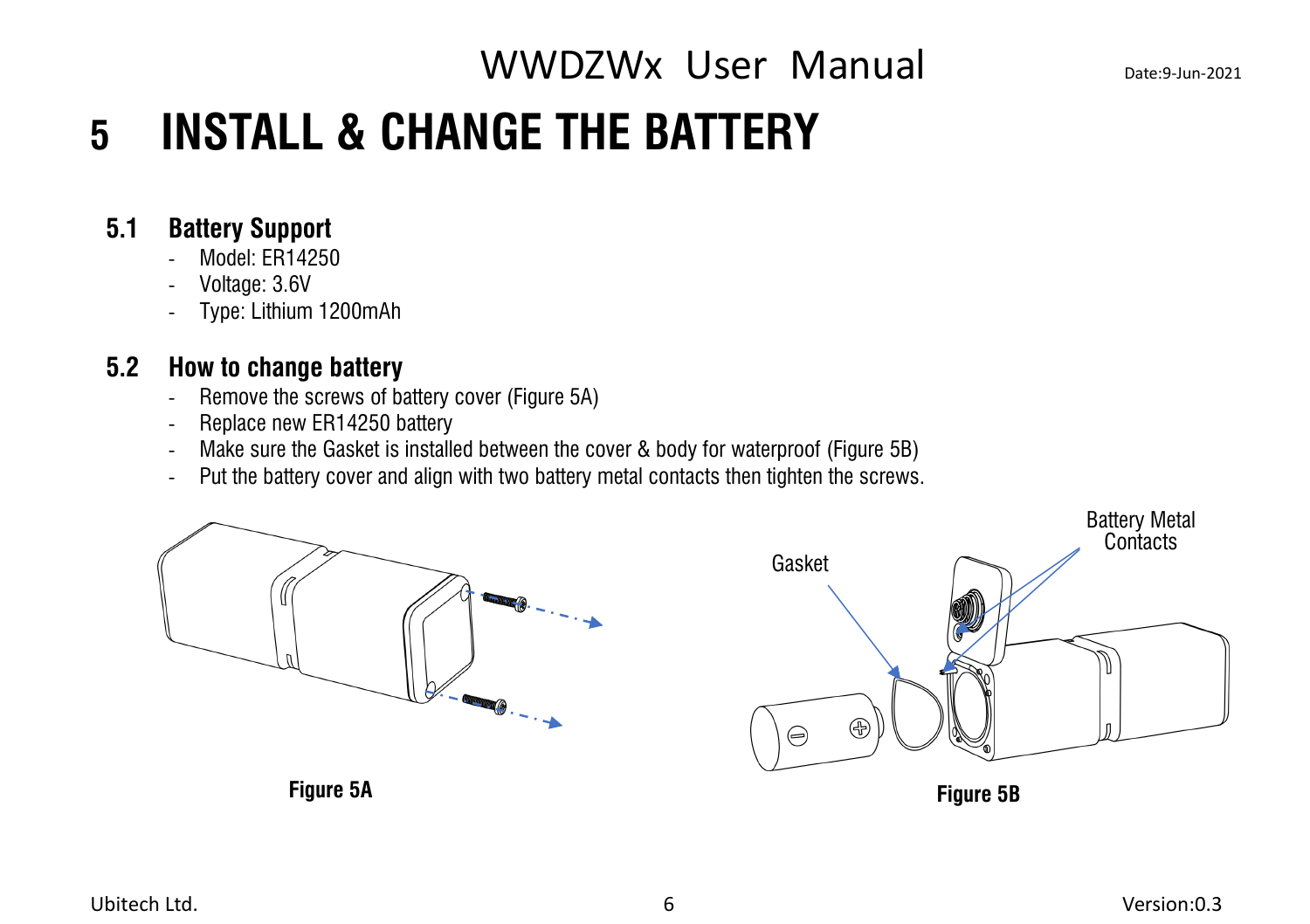## <span id="page-9-0"></span>**5 INSTALL & CHANGE THE BATTERY**

#### **5.1 Battery Support**

- <span id="page-9-1"></span>Model: FR14250
- Voltage: 3.6V
- Type: Lithium 1200mAh

### **5.2 How to change battery**

- <span id="page-9-2"></span>- Remove the screws of battery cover (Figure 5A)
- Replace new ER14250 battery
- Make sure the Gasket is installed between the cover & body for waterproof (Figure 5B)
- Put the battery cover and align with two battery metal contacts then tighten the screws.

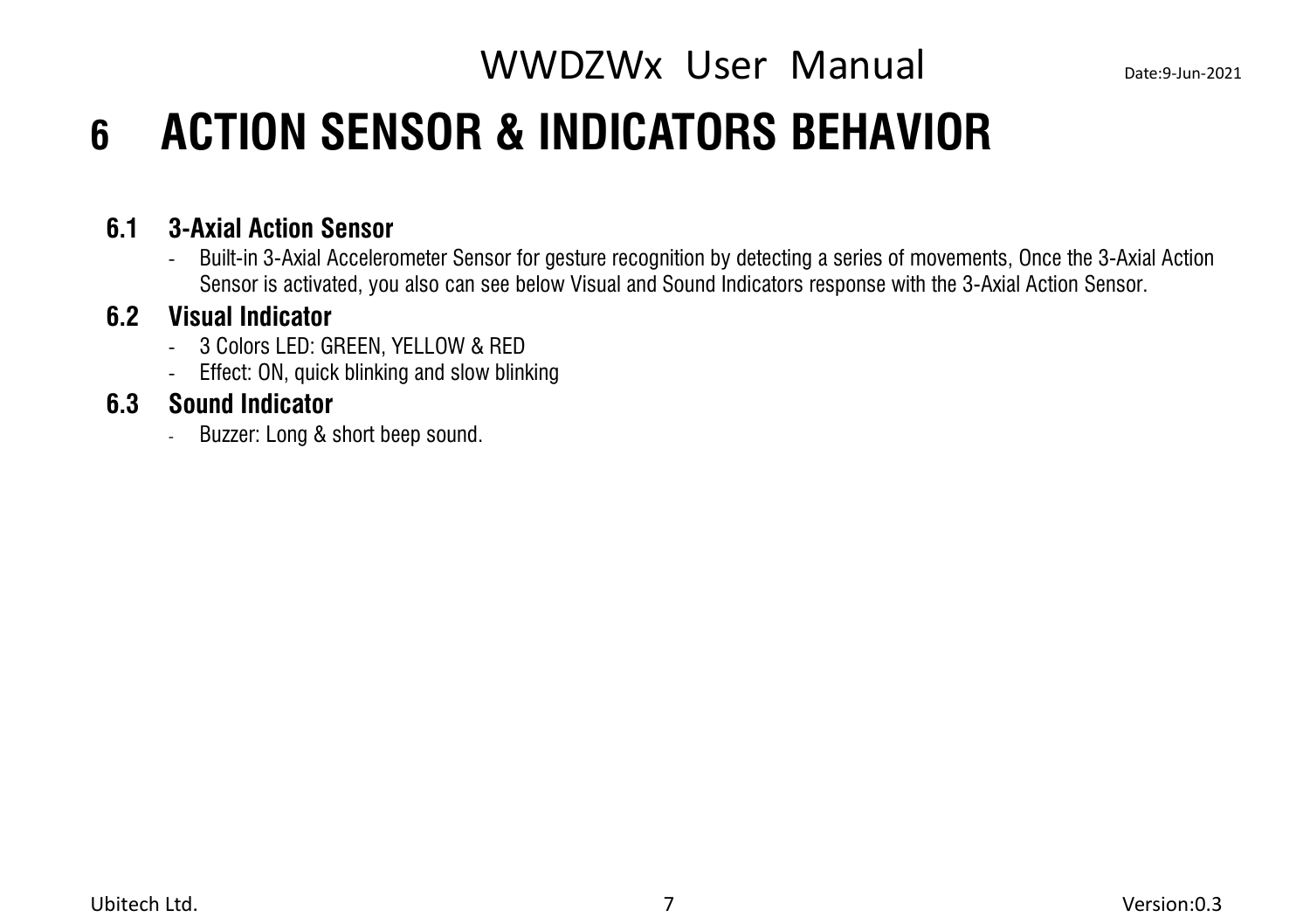## <span id="page-10-0"></span>**6 ACTION SENSOR & INDICATORS BEHAVIOR**

#### **6.1 3-Axial Action Sensor**

<span id="page-10-1"></span>- Built-in 3-Axial Accelerometer Sensor for gesture recognition by detecting a series ofmovements, Once the 3-Axial Action Sensor is activated, you also can see below Visual and Sound Indicators response with the 3-Axial Action Sensor.

#### **6.2 Visual Indicator**

- <span id="page-10-2"></span>- 3 Colors LED: GREEN, YELLOW & RED
- <span id="page-10-3"></span>- Effect: ON, quick blinking and slow blinking

### **6.3 Sound Indicator**

- Buzzer: Long & short beep sound.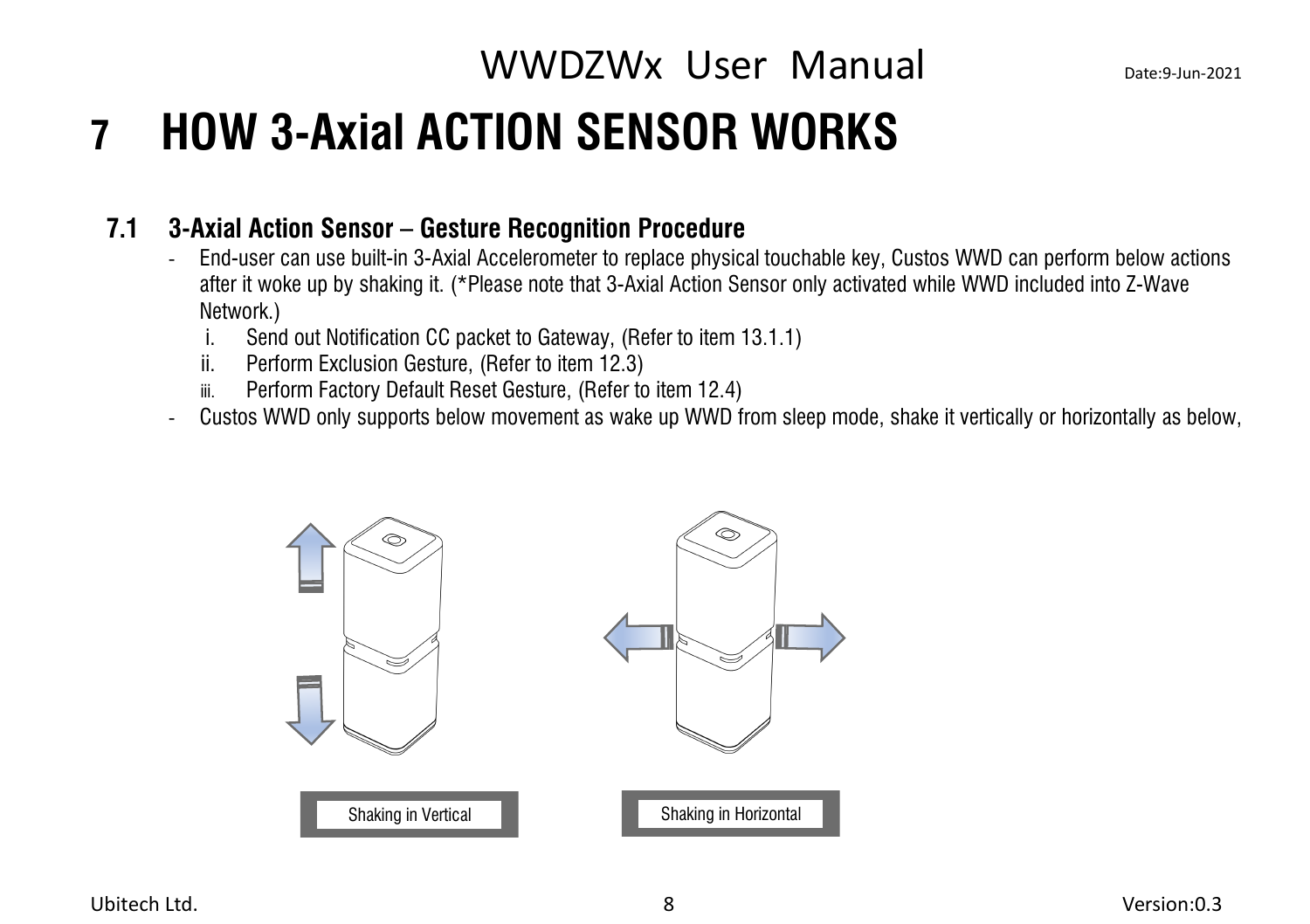## <span id="page-11-0"></span>**7 HOW 3-Axial ACTION SENSOR WORKS**

#### **7.1 3-Axial Action Sensor – Gesture Recognition Procedure**

- <span id="page-11-1"></span>- End-user can use built-in 3-Axial Accelerometer to replace physical touchable key, Custos WWD can perform below actions after it woke up by shaking it. (\*Please note that 3-Axial Action Sensor only activated while WWD included into Z-Wave Network.)
	- i. Send out Notification CC packet to Gateway, (Refer to item 13.1.1)
	- ii. Perform Exclusion Gesture, (Refer to item 12.3)
	- iii. Perform Factory Default Reset Gesture, (Refer to item 12.4)
- Custos WWD only supports below movement as wake up WWD from sleep mode, shake it vertically or horizontally as below,

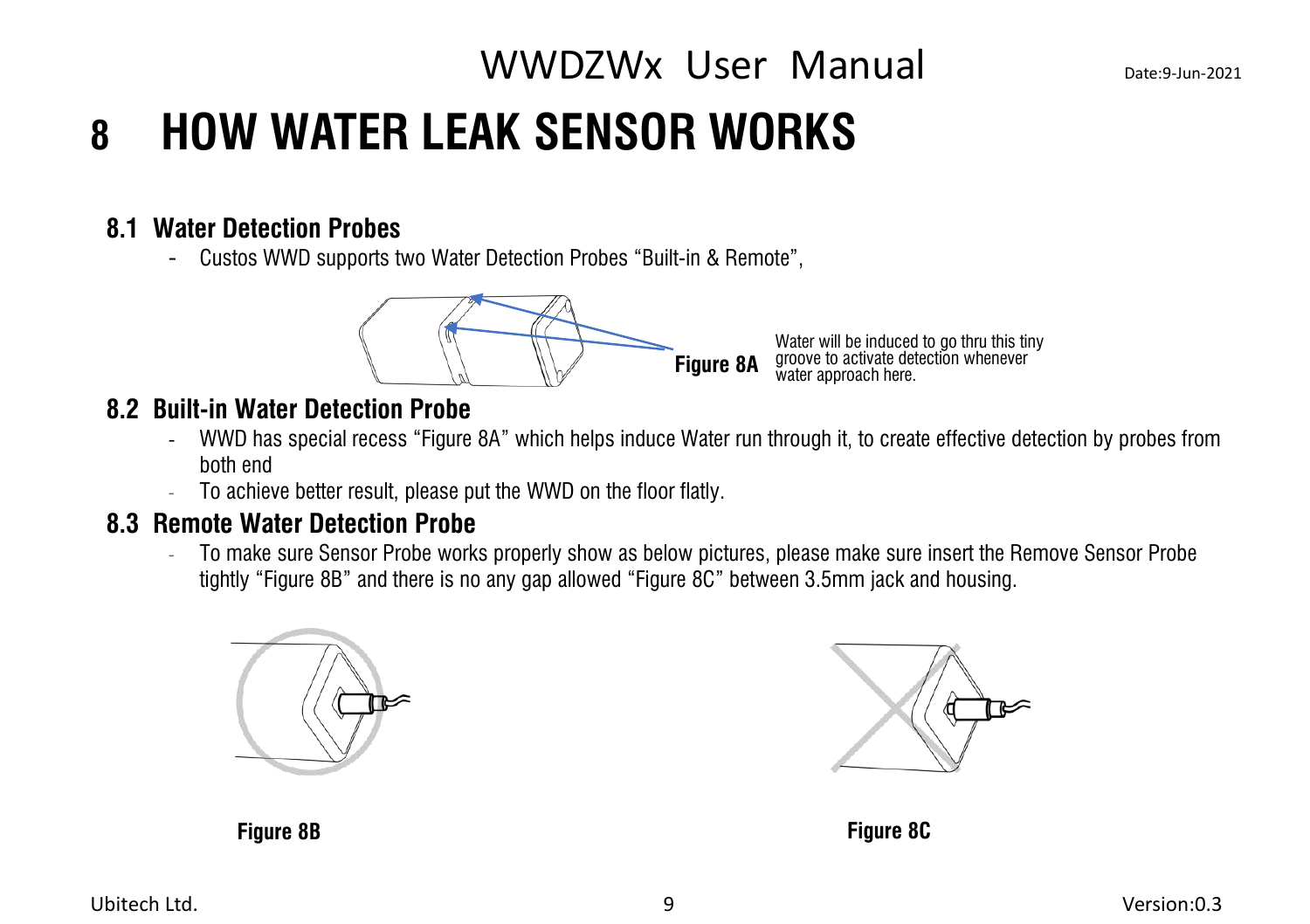## <span id="page-12-0"></span>WWDZWx User Manual Date:9-Jun-2021 **8 HOW WATER LEAK SENSOR WORKS**

#### **8.1 Water Detection Probes**

<span id="page-12-1"></span>- Custos WWD supports two Water Detection Probes "Built-in & Remote",



#### **8.2 Built-in Water Detection Probe**

- <span id="page-12-2"></span>- WWD has special recess "Figure 8A" which helps induce Water run through it, to create effective detection by probes from both end
- <span id="page-12-3"></span>To achieve better result, please put the WWD on the floor flatly.

#### **8.3 Remote WaterDetection Probe**

- To make sure Sensor Probe works properly show as below pictures, please make sure insert the Remove Sensor Probe tightly "Figure 8B" and there is no any gap allowed "Figure 8C" between 3.5mm jack and housing.





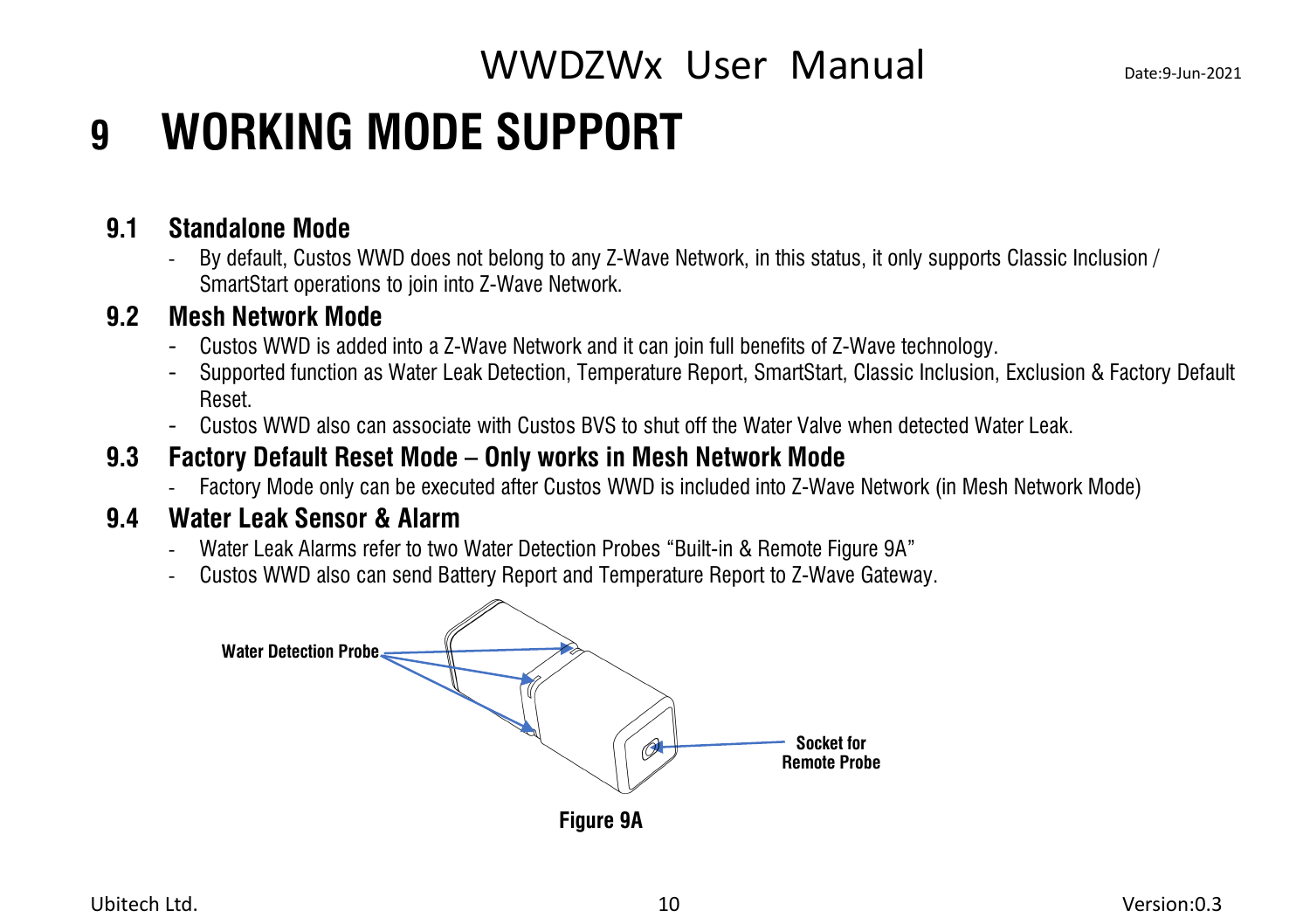## <span id="page-13-0"></span>**9 WORKING MODE SUPPORT**

#### **9.1 Standalone Mode**

<span id="page-13-1"></span>- By default, Custos WWD does not belong to any Z-Wave Network, in this status, it only supports Classic Inclusion / SmartStart operations to join into Z-Wave Network.

#### **9.2 Mesh Network Mode**

- <span id="page-13-2"></span>
- Custos WWD is added into a Z-Wave Network and it can join full benefits of Z-Wave technology.<br>- Supported function as Water Leak Detection, Temperature Report, SmartStart, Classic Inclusion, Exclusion & Factory Default Reset.
- <span id="page-13-3"></span>- Custos WWD also can associate with Custos BVS toshut off the Water Valve when detected Water Leak.

#### **9.3 Factory Default Reset Mode – Only works in Mesh Network Mode**

<span id="page-13-4"></span>- Factory Mode only can be executed after Custos WWD is included into Z-Wave Network (in Mesh Network Mode)

#### **9.4 Water Leak Sensor & Alarm**

- Water Leak Alarms refer to two Water Detection Probes "Built-in & Remote Figure 9A"
- Custos WWD also can send Battery Report and Temperature Report to Z-Wave Gateway.

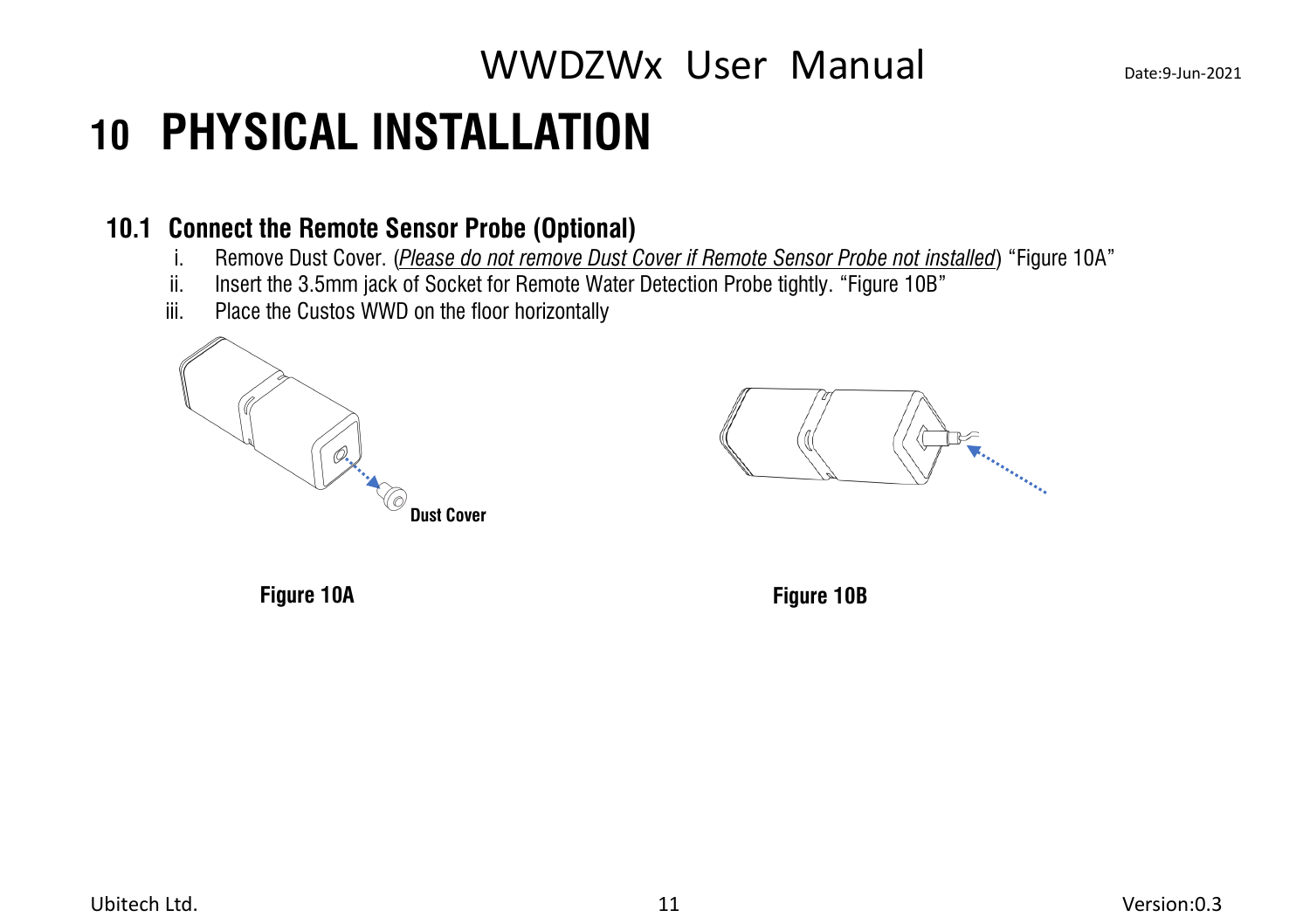## <span id="page-14-0"></span>**10 PHYSICAL INSTALLATION**

#### **10.1 Connect the Remote Sensor Probe (Optional)**

- <span id="page-14-1"></span>i. Remove Dust Cover. (*Please do not remove Dust Cover if Remote Sensor Probe not installed*) "Figure 10A"
- ii. Insert the 3.5mm jack of Socket for Remote Water Detection Probe tightly. "Figure 10B"
- iii. Place the Custos WWD on the floor horizontally



**The Contract of Changes** 

**Figure 10A Figure 10B**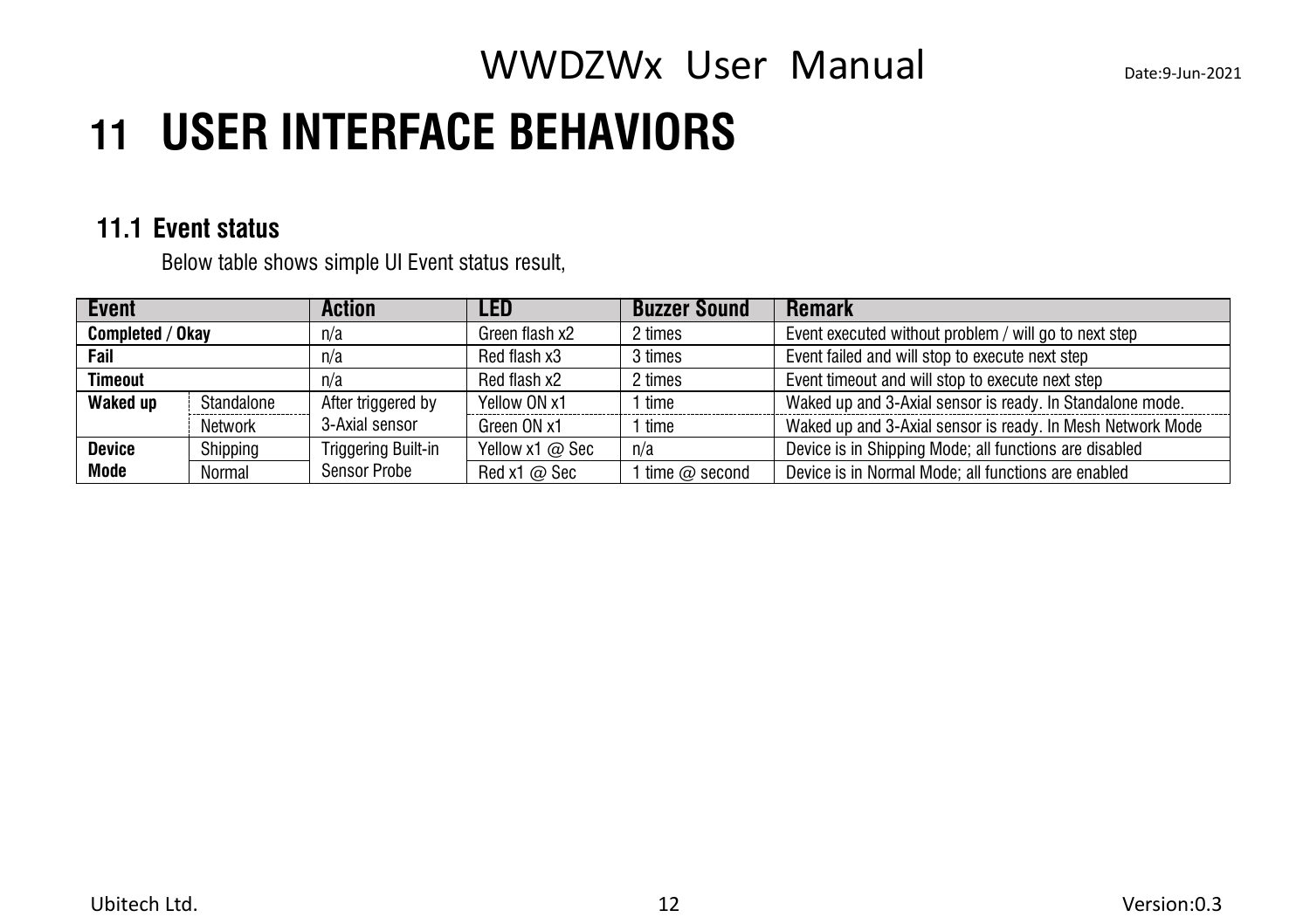## <span id="page-15-0"></span>**11 USER INTERFACE BEHAVIORS**

#### **11.1 Event status**

<span id="page-15-1"></span>Below table shows simple UI Event status result,

| Event            |            | <b>Action</b>       | <b>LED</b>          | <b>Buzzer Sound</b> | <b>Remark</b>                                              |
|------------------|------------|---------------------|---------------------|---------------------|------------------------------------------------------------|
| Completed / Okay |            | n/a                 | Green flash x2      | 2 times             | Event executed without problem / will go to next step      |
| Fail             |            | n/a                 | Red flash x3        | 3 times             | Event failed and will stop to execute next step            |
| <b>Timeout</b>   |            | n/a                 | Red flash x2        | 2 times             | Event timeout and will stop to execute next step           |
| Waked up         | Standalone | After triggered by  | Yellow ON x1        | 1 time              | Waked up and 3-Axial sensor is ready. In Standalone mode.  |
|                  | Network    | 3-Axial sensor      | Green ON x1         | l time              | Waked up and 3-Axial sensor is ready. In Mesh Network Mode |
| <b>Device</b>    | Shipping   | Triggering Built-in | Yellow x1 @ Sec     | n/a                 | Device is in Shipping Mode; all functions are disabled     |
| Mode             | Normal     | Sensor Probe        | Red x1 $\varpi$ Sec | 1 time $@$ second   | Device is in Normal Mode; all functions are enabled        |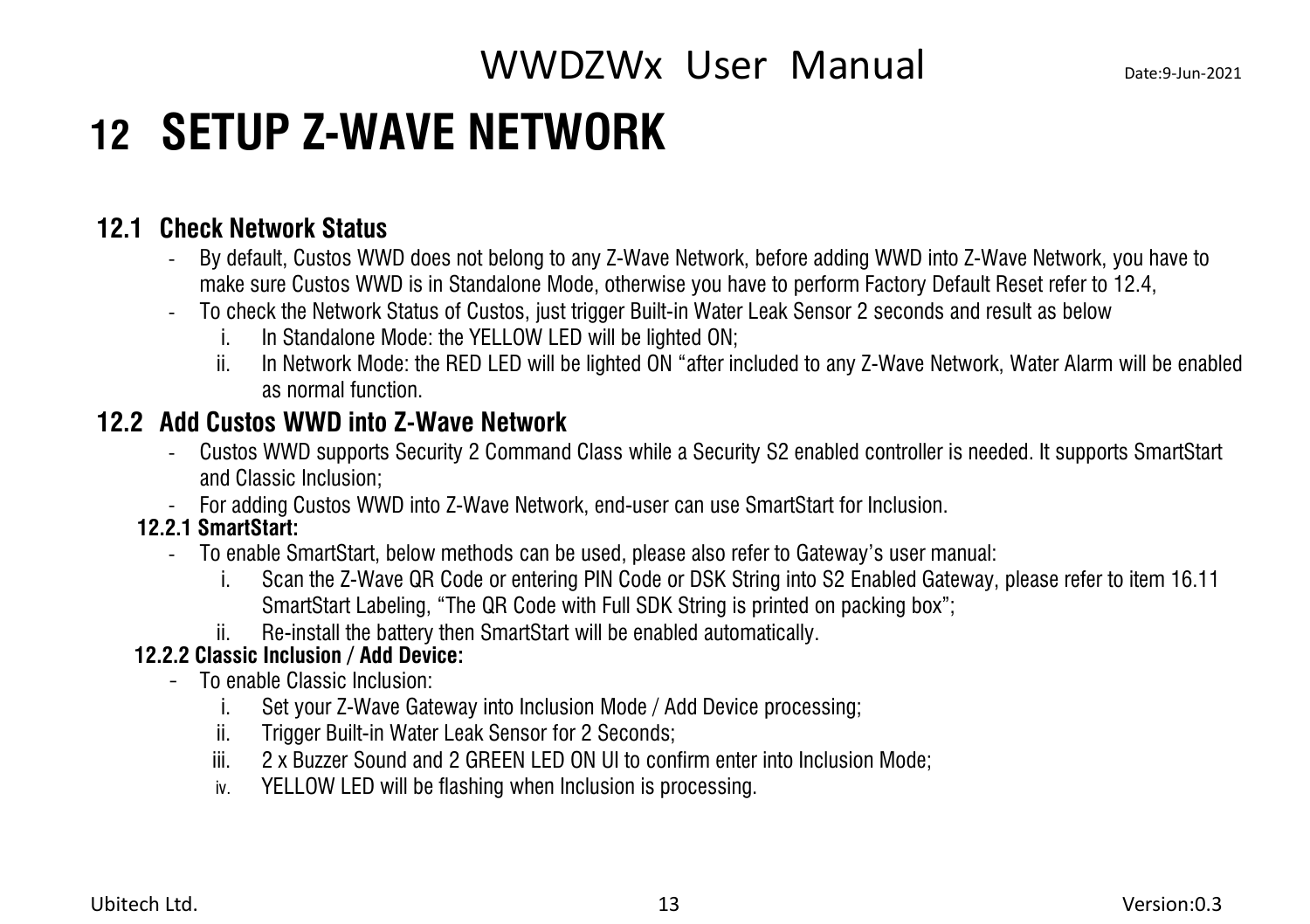## <span id="page-16-0"></span>**12 SETUP Z-WAVE NETWORK**

### **12.1 Check Network Status**

- <span id="page-16-1"></span>- By default, Custos WWD does not belong to any Z-Wave Network, before adding WWD into Z-Wave Network,you have to make sure Custos WWD is in Standalone Mode, otherwise you have to perform Factory Default Reset refer to 12.4,
- To check the Network Status of Custos, just trigger Built-in Water Leak Sensor 2 seconds and result as below
	- i. In Standalone Mode: the YELLOW LED will be lighted ON;
	- ii. In Network Mode: the RED LED will be lighted ON "after included to any Z-Wave Network, Water Alarm will be enabled as normal function.

### **12.2 Add Custos WWD into Z-Wave Network**

- <span id="page-16-2"></span>- Custos WWD supports Security 2 Command Class while a Security S2 enabled controller is needed. It supports SmartStart and Classic Inclusion;
- For adding Custos WWD into Z-Wave Network, end-user can use SmartStart for Inclusion.

#### **12.2.1 SmartStart:**

- To enable SmartStart, below methods can be used, please also refer to Gateway's user manual:
	- i. Scan the Z-Wave QR Code or entering PIN Code or DSK String into S2 Enabled Gateway, please refer to item 16.11 SmartStart Labeling, "The QR Code with Full SDK String is printed on packing box";
	- ii. Re-install the battery then SmartStart will be enabled automatically.

#### **12.2.2 Classic Inclusion / Add Device:**

- To enable Classic Inclusion:
	- i. Set your Z-Wave Gateway into Inclusion Mode / Add Device processing;
	- ii. Trigger Built-in Water Leak Sensor for 2 Seconds;
	- iii. 2 x Buzzer Sound and 2 GREEN LED ON UI to confirm enter into Inclusion Mode;
	- iv. YELLOW LED will be flashing when Inclusion is processing.

Ubitech Ltd. 13 Version:0.3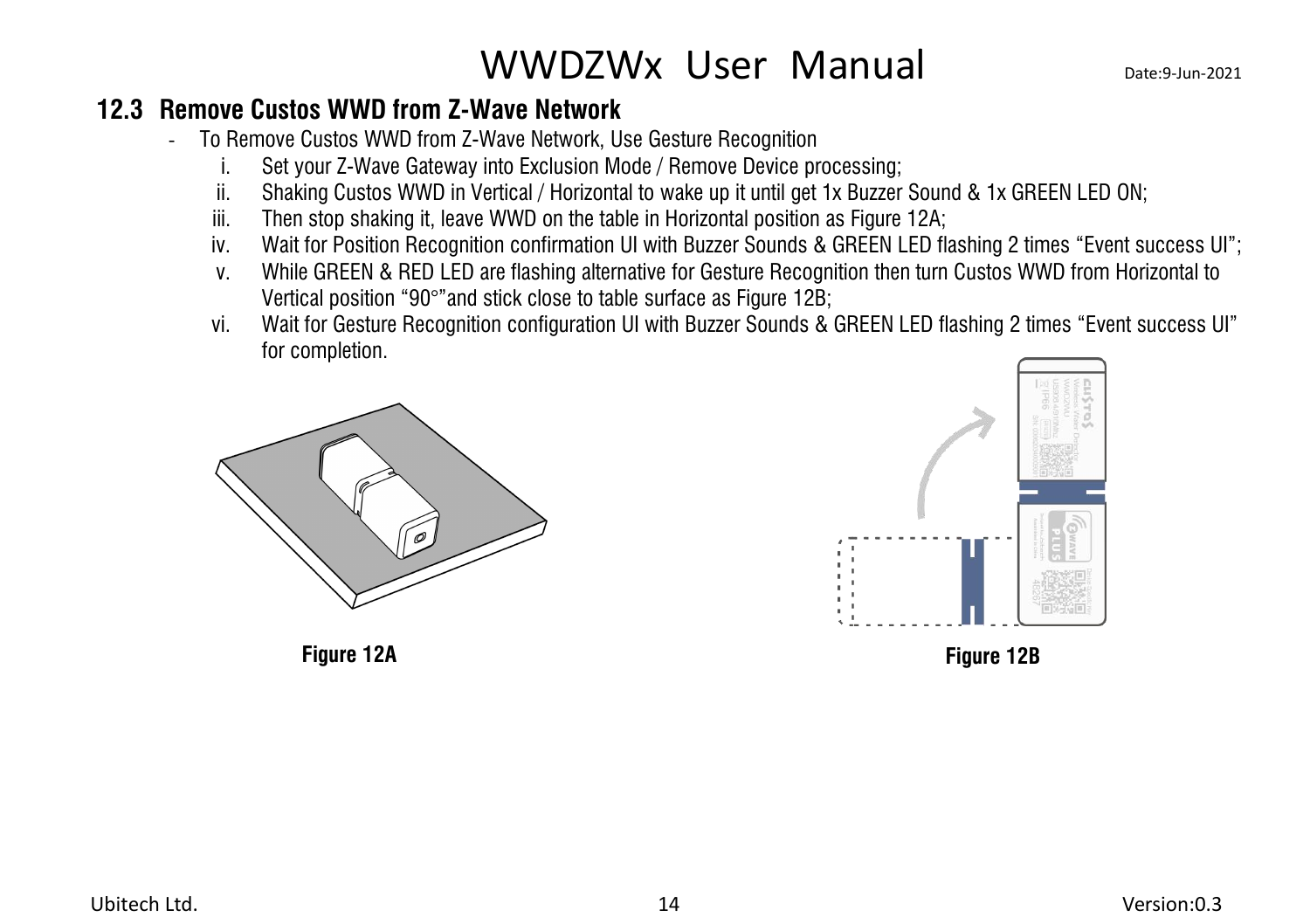### **12.3 Remove Custos WWD from Z-Wave Network**

- <span id="page-17-0"></span>- To Remove Custos WWD from Z-Wave Network,Use Gesture Recognition
	- i. Set your Z-Wave Gateway into Exclusion Mode / Remove Device processing;
	- ii. Shaking Custos WWD in Vertical / Horizontal to wake up it until get 1x Buzzer Sound & 1x GREEN LED ON:
	- iii. Then stop shaking it, leave WWD on the table in Horizontal position as Figure 12A;
	- iv. Wait for Position Recognition confirmation UI with Buzzer Sounds & GREEN LED flashing 2 times "Event success UI";
	- v. While GREEN & RED LED are flashing alternative for Gesture Recognition then turn Custos WWD from Horizontal to Vertical position "90°"and stick close to table surface as Figure 12B;
	- vi. Wait for Gesture Recognition configuration UI with Buzzer Sounds & GREEN LED flashing 2 times "Event success UI" for completion.



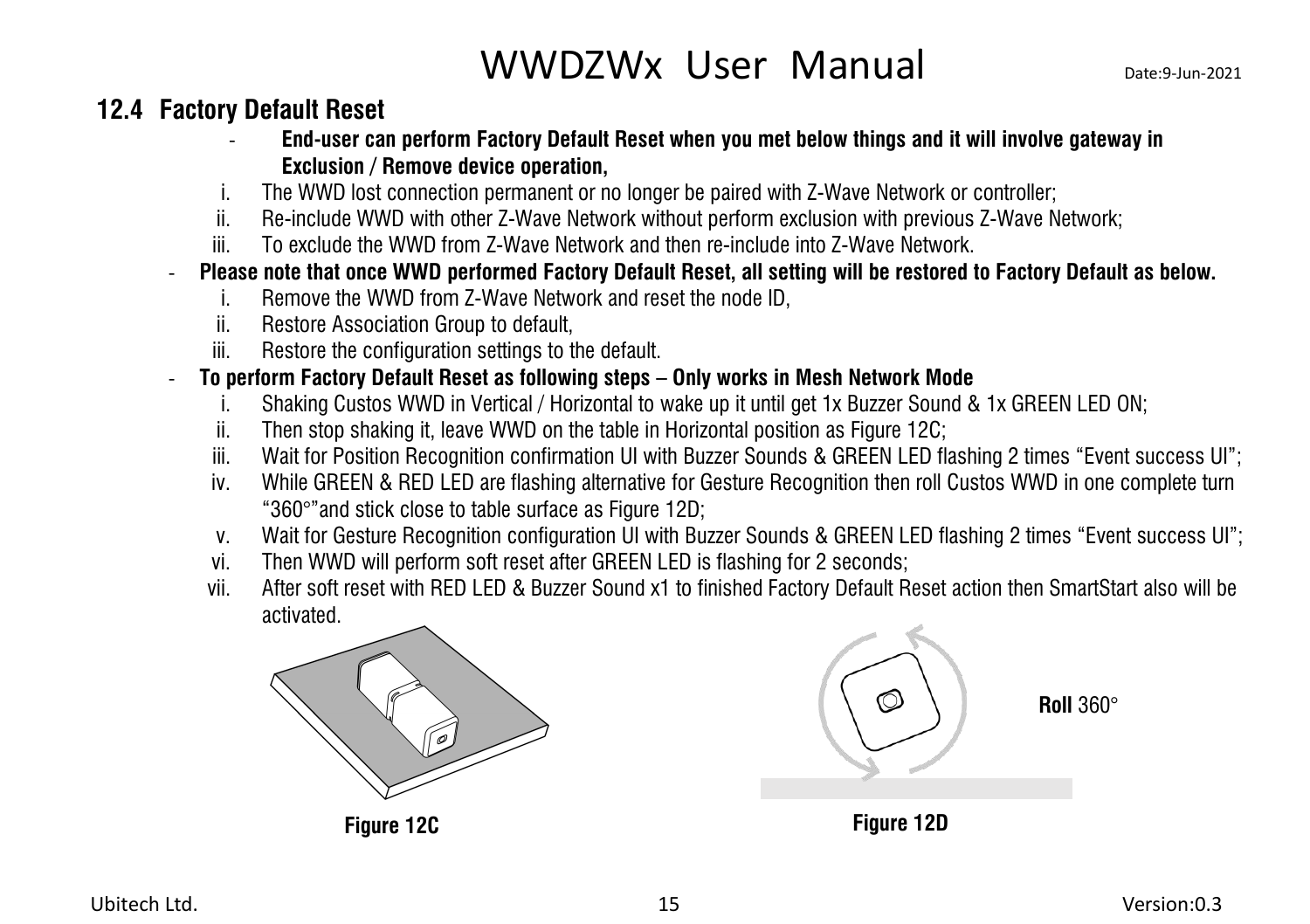### <span id="page-18-0"></span>**12.4 Factory Default Reset**

- **End-user can perform Factory Default Reset when you met below things and it will involve gateway in Exclusion / Remove device operation,**
- i. The WWD lost connection permanent or no longer be paired with Z-Wave Network or controller;
- ii. Re-include WWD with other Z-Wave Network without perform exclusion with previous Z-Wave Network;
- iii. To exclude the WWD from Z-Wave Network and then re-include into Z-Wave Network.
- Please note that once WWD performed Factory Default Reset, all setting will be restored to Factory Default as below.
	- i. Remove the WWD from Z-Wave Network and reset the node ID,
	- ii. Restore Association Group to default,
	- iii. Restore the configuration settings to the default.
- **To perform Factory Default Reset as following steps – Only works in Mesh Network Mode**
	- i. Shaking Custos WWD in Vertical / Horizontal to wake up it until get 1x Buzzer Sound & 1x GREEN LED ON;
	- ii. Then stop shaking it, leave WWD on the table in Horizontal position as Figure 12C;
	- iii. Wait for Position Recognition confirmation UI with Buzzer Sounds & GREEN LED flashing 2 times "Event success UI";
	- iv. While GREEN & RED LED are flashing alternative for Gesture Recognition then roll Custos WWD in one complete turn "360°"and stick close to table surface as Figure 12D;
	- v. Wait for Gesture Recognition configuration UI with Buzzer Sounds & GREEN LED flashing 2 times "Event success UI";
	- vi. Then WWD will perform soft reset after GREEN LED is flashing for 2 seconds;
	- vii. After soft reset with RED LED & Buzzer Sound x1 to finished Factory Default Reset action then SmartStart also will be activated.



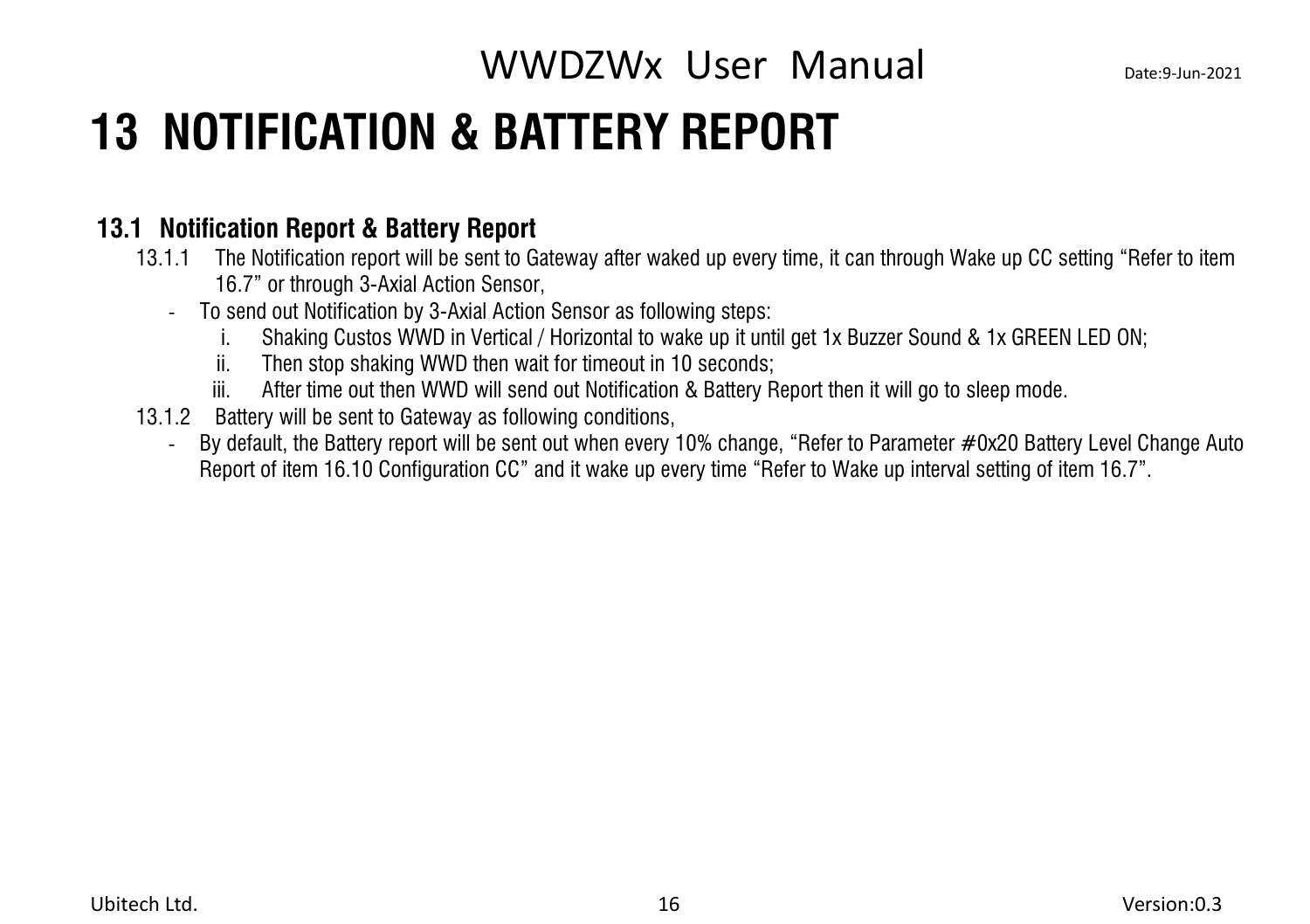## <span id="page-19-0"></span>**13 NOTIFICATION & BATTERY REPORT**

#### **13.1 Notification Report & Battery Report**

- <span id="page-19-1"></span>13.1.1 The Notification report will be sent to Gateway after waked up every time, it can through Wake up CC setting "Refer to item 16.7" or through 3-Axial Action Sensor,
	- To send out Notification by 3-Axial Action Sensor as following steps:
		- i. Shaking Custos WWD in Vertical / Horizontal to wake up it until get 1x Buzzer Sound & 1x GREEN LED ON;
		- ii. Then stop shaking WWD then wait for timeout in 10 seconds;
		- iii. After time out then WWD will send out Notification & Battery Report then it will go to sleep mode.
- 13.1.2 Battery will be sent to Gateway as following conditions,
	- By default, the Battery report will be sent out when every 10% change, "Refer to Parameter #0x20 Battery Level Change Auto Report of item 16.10 Configuration CC" and it wake up every time "Refer to Wake up interval setting of item 16.7".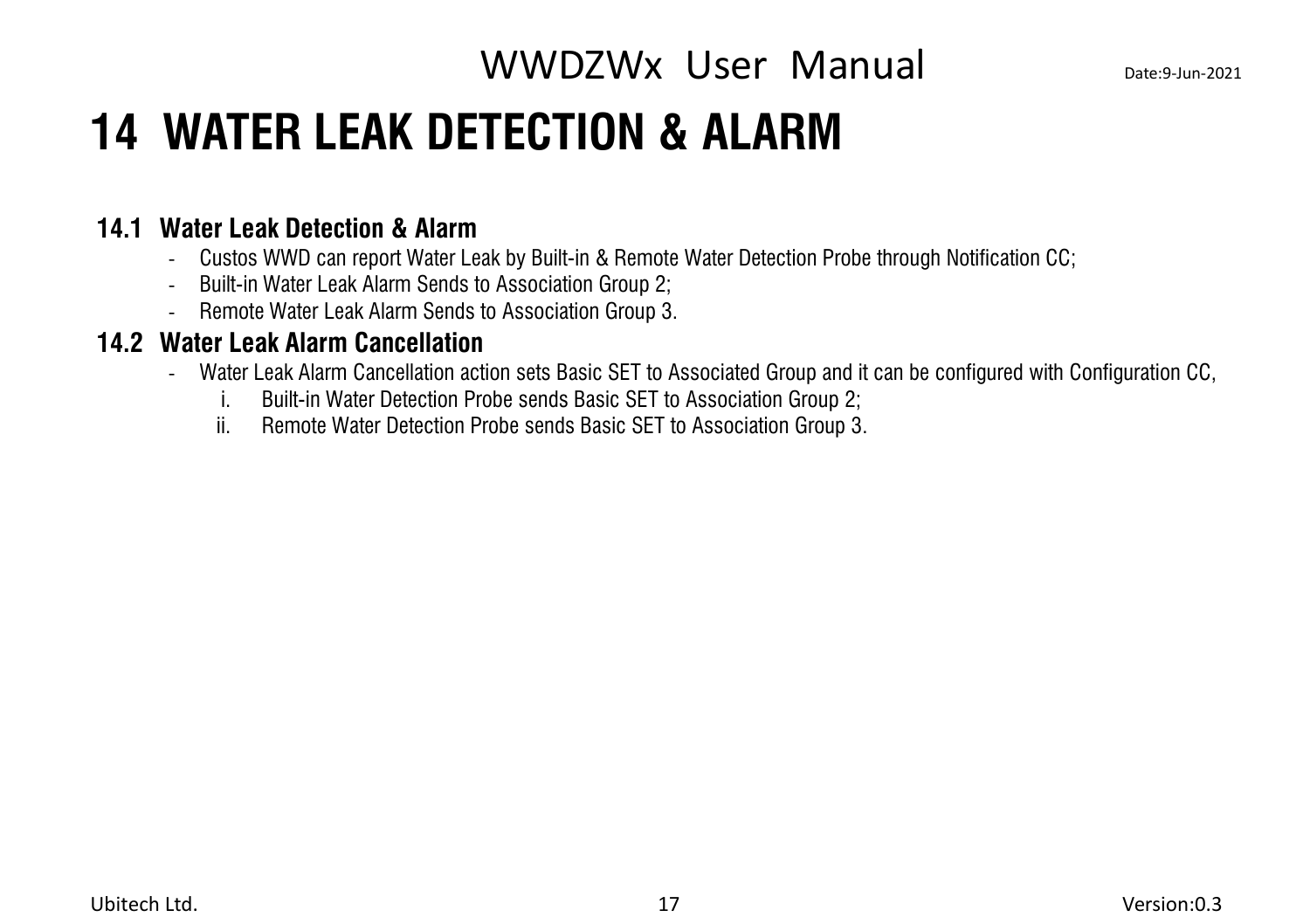## <span id="page-20-0"></span>**14 WATER LEAK DETECTION & ALARM**

#### **14.1 Water Leak Detection & Alarm**

- <span id="page-20-1"></span>- Custos WWD can report Water Leak by Built-in & Remote Water Detection Probe through Notification CC;
- Built-in Water Leak Alarm Sends to Association Group 2;
- <span id="page-20-2"></span>- Remote Water Leak Alarm Sends to Association Group 3.

#### **14.2 Water Leak Alarm Cancellation**

- Water Leak Alarm Cancellation action sets Basic SET to Associated Group and it can be configured with Configuration CC,
	- i. Built-in Water Detection Probe sends Basic SET to Association Group 2;
	- ii. Remote Water Detection Probe sends Basic SET to Association Group 3.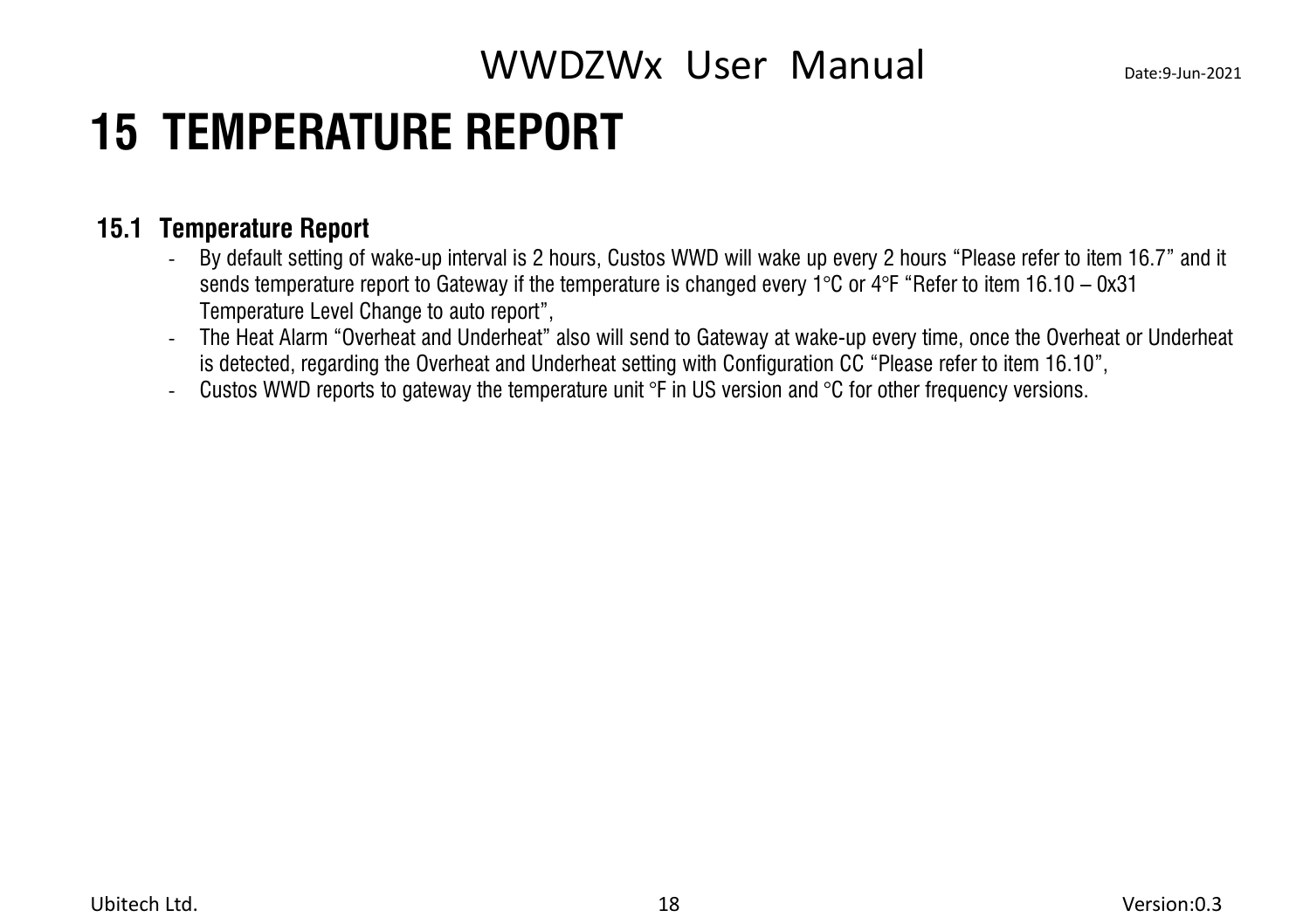## <span id="page-21-0"></span>**15 TEMPERATURE REPORT**

### **15.1 Temperature Report**

- <span id="page-21-1"></span>- By default setting of wake-up interval is 2 hours, Custos WWD will wake up every 2 hours "Please refer to item 16.7" and it sends temperature report to Gateway if the temperature is changed every 1°C or 4°F "Refer to item 16.10 – 0x31 Temperature Level Change to auto report",
- The Heat Alarm "Overheat and Underheat" also will send to Gateway atwake-up every time, once the Overheat or Underheat is detected, regarding the Overheat and Underheat setting with Configuration CC "Please refer to item 16.10",
- Custos WWD reports to gateway the temperature unit  $\degree$ F in US version and  $\degree$ C for other frequency versions.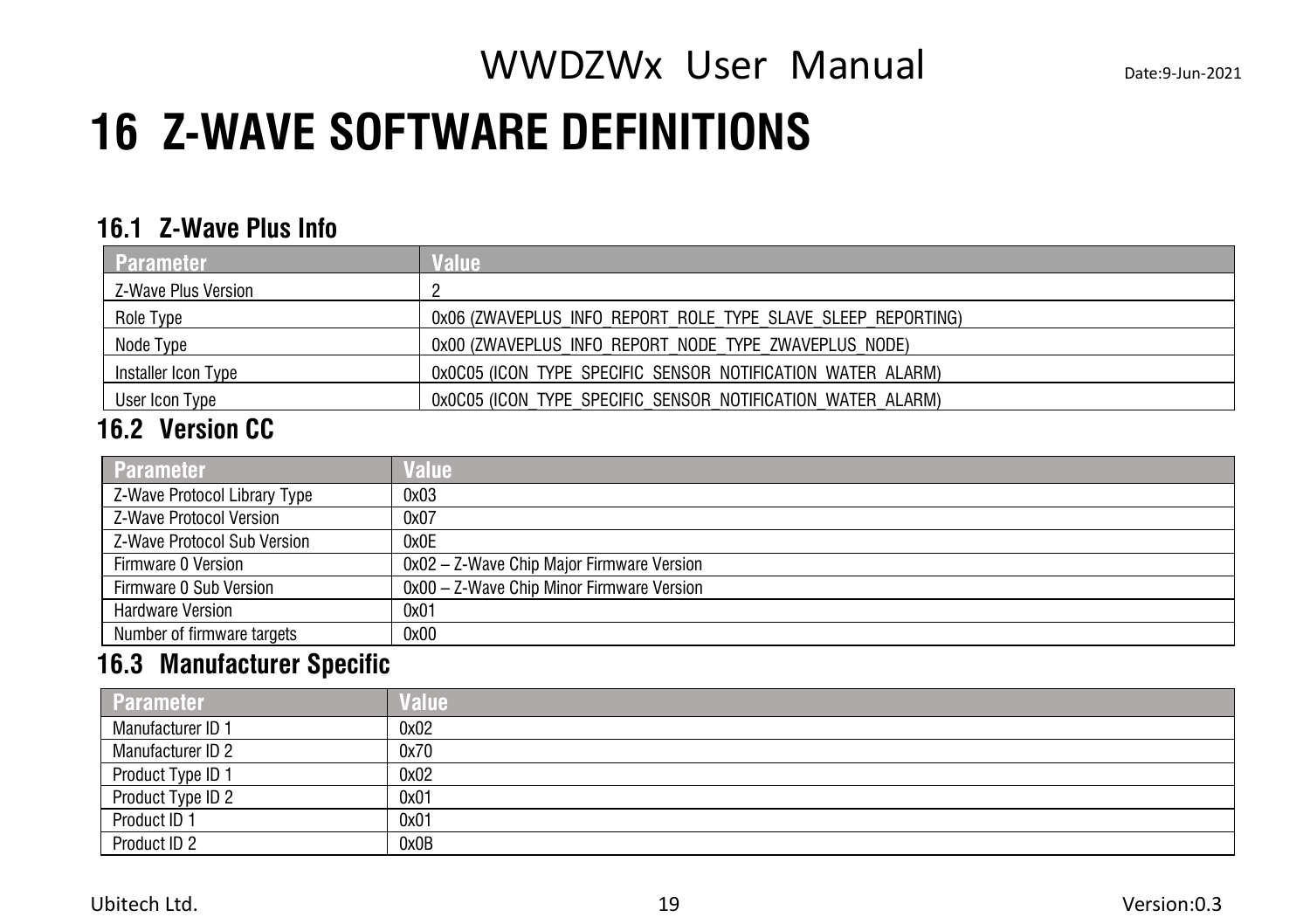## <span id="page-22-0"></span>**16 Z-WAVE SOFTWARE DEFINITIONS**

#### <span id="page-22-1"></span>**16.1 Z-Wave Plus Info**

| Parameter           | alue                                                         |
|---------------------|--------------------------------------------------------------|
| Z-Wave Plus Version |                                                              |
| Role Type           | 0x06 (ZWAVEPLUS INFO REPORT ROLE TYPE SLAVE SLEEP REPORTING) |
| Node Type           | 0x00 (ZWAVEPLUS INFO REPORT NODE TYPE ZWAVEPLUS NODE)        |
| Installer Icon Type | 0x0C05 (ICON TYPE SPECIFIC SENSOR NOTIFICATION WATER ALARM)  |
| User Icon Type      | 0x0C05 (ICON TYPE SPECIFIC SENSOR NOTIFICATION WATER ALARM)  |

### <span id="page-22-2"></span>**16.2 Version CC**

| <b>Parameter</b>               | <b>Value</b>                              |
|--------------------------------|-------------------------------------------|
| Z-Wave Protocol Library Type   | 0x03                                      |
| <b>7-Wave Protocol Version</b> | 0x07                                      |
| Z-Wave Protocol Sub Version    | 0x0E                                      |
| Firmware 0 Version             | 0x02 - Z-Wave Chip Major Firmware Version |
| Firmware 0 Sub Version         | 0x00 - Z-Wave Chip Minor Firmware Version |
| <b>Hardware Version</b>        | 0x01                                      |
| Number of firmware targets     | 0x00                                      |

#### <span id="page-22-3"></span>**16.3 Manufacturer Specific**

| <b>Parameter</b>  | Value |
|-------------------|-------|
| Manufacturer ID 1 | 0x02  |
| Manufacturer ID 2 | 0x70  |
| Product Type ID 1 | 0x02  |
| Product Type ID 2 | 0x01  |
| Product ID 1      | 0x01  |
| Product ID 2      | 0x0B  |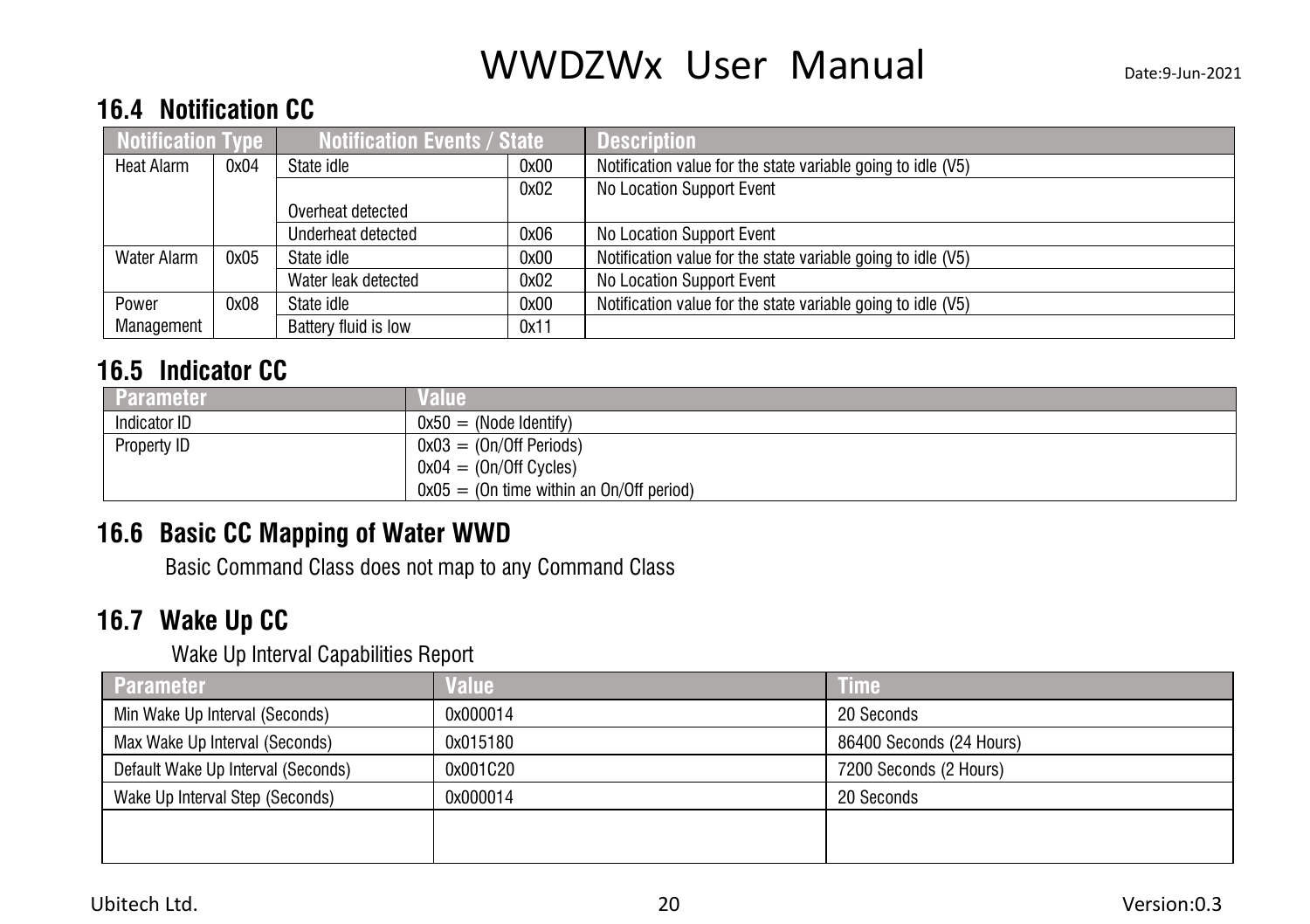#### <span id="page-23-0"></span>**16.4 Notification CC**

| <b>Notification Type</b> |      | <b>Notification Events / State</b> |      | <b>Description</b>                                           |
|--------------------------|------|------------------------------------|------|--------------------------------------------------------------|
| Heat Alarm               | 0x04 | State idle<br>0x00                 |      | Notification value for the state variable going to idle (V5) |
|                          |      |                                    | 0x02 | No Location Support Event                                    |
|                          |      | Overheat detected                  |      |                                                              |
|                          |      | Underheat detected                 | 0x06 | No Location Support Event                                    |
| Water Alarm              | 0x05 | State idle                         | 0x00 | Notification value for the state variable going to idle (V5) |
|                          |      | Water leak detected                | 0x02 | No Location Support Event                                    |
| Power                    | 0x08 | State idle                         | 0x00 | Notification value for the state variable going to idle (V5) |
| Management               |      | Battery fluid is low               | 0x11 |                                                              |

### <span id="page-23-1"></span>**16.5 Indicator CC**

| <b>Parameter</b> |                                            |
|------------------|--------------------------------------------|
| Indicator ID     | $0x50 = (Node Identity)$                   |
| Property ID      | $0x03 = (On/Off Periods)$                  |
|                  | $0x04 = (On/Off Cycles)$                   |
|                  | $0x05 = (On time within an On/Off period)$ |

### **16.6 Basic CC Mapping of Water WWD**

<span id="page-23-2"></span>Basic Command Class does not map to any Command Class

### **16.7 Wake Up CC**

<span id="page-23-3"></span>Wake Up Interval Capabilities Report

| <b>Parameter</b>                   | Value    | <b>Time</b>              |
|------------------------------------|----------|--------------------------|
| Min Wake Up Interval (Seconds)     | 0x000014 | 20 Seconds               |
| Max Wake Up Interval (Seconds)     | 0x015180 | 86400 Seconds (24 Hours) |
| Default Wake Up Interval (Seconds) | 0x001C20 | 7200 Seconds (2 Hours)   |
| Wake Up Interval Step (Seconds)    | 0x000014 | 20 Seconds               |
|                                    |          |                          |
|                                    |          |                          |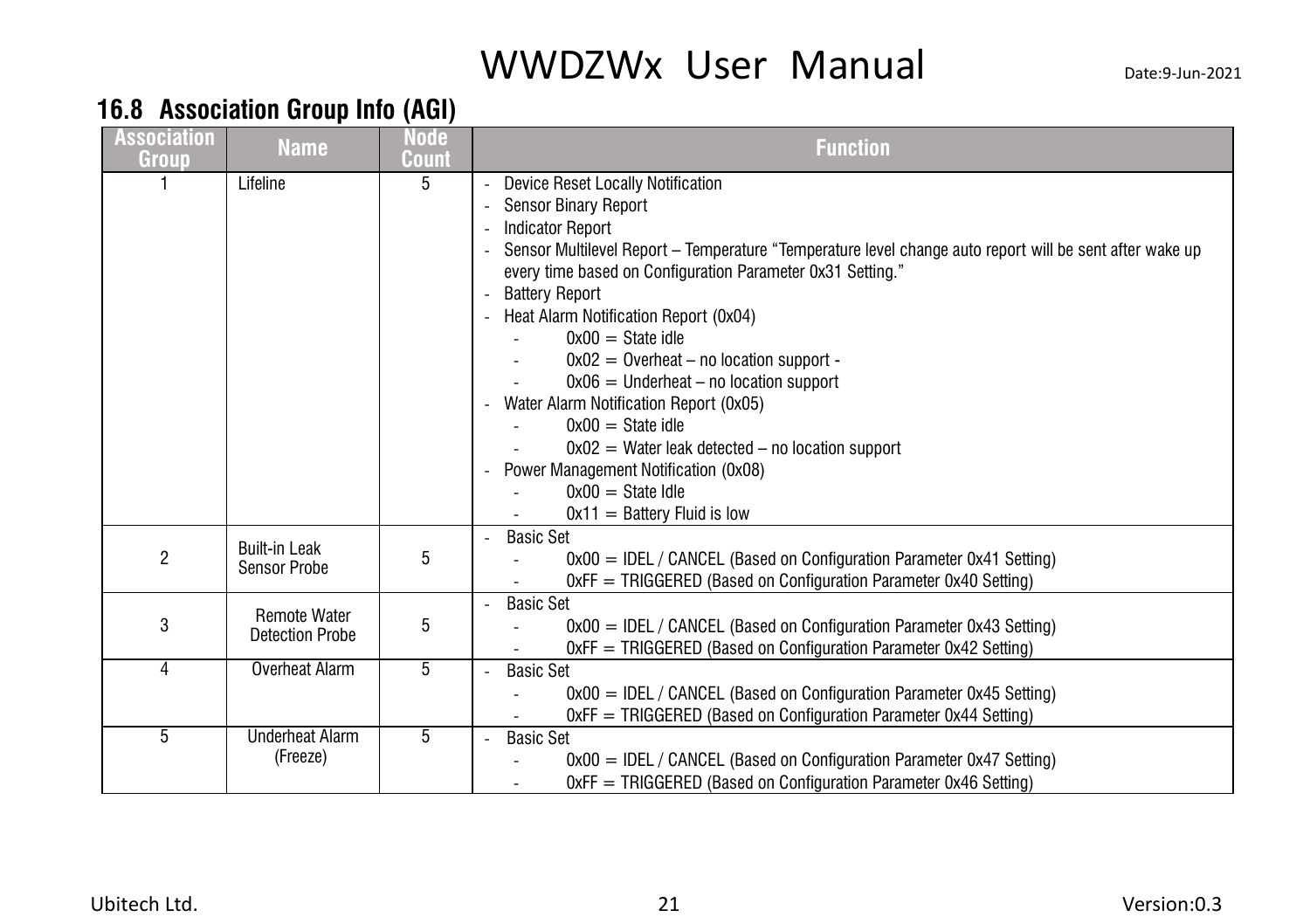### <span id="page-24-0"></span>**16.8 Association Group Info (AGI)**

| <b>Association</b><br>Group | <b>Name</b>                                   | Node<br><b>Count</b> | <b>Function</b>                                                                                                                                                                                                                                                                                                                                                                                                                                                                                                                                                                                                                                                                |
|-----------------------------|-----------------------------------------------|----------------------|--------------------------------------------------------------------------------------------------------------------------------------------------------------------------------------------------------------------------------------------------------------------------------------------------------------------------------------------------------------------------------------------------------------------------------------------------------------------------------------------------------------------------------------------------------------------------------------------------------------------------------------------------------------------------------|
|                             | Lifeline                                      | 5                    | Device Reset Locally Notification<br><b>Sensor Binary Report</b><br><b>Indicator Report</b><br>Sensor Multilevel Report - Temperature "Temperature level change auto report will be sent after wake up<br>every time based on Configuration Parameter 0x31 Setting."<br><b>Battery Report</b><br>Heat Alarm Notification Report (0x04)<br>$0x00 =$ State idle<br>$0x02 = 0$ verheat – no location support -<br>$0x06 =$ Underheat – no location support<br>Water Alarm Notification Report (0x05)<br>$0x00 =$ State idle<br>$0x02 =$ Water leak detected – no location support<br>Power Management Notification (0x08)<br>$0x00 =$ State Idle<br>$0x11 =$ Battery Fluid is low |
|                             | <b>Built-in Leak</b><br><b>Sensor Probe</b>   | 5                    | <b>Basic Set</b><br>$0x00 = IDEL / CANCEL$ (Based on Configuration Parameter $0x41$ Setting)<br>$OxFF = TRIGGERED$ (Based on Configuration Parameter $Ox40$ Setting)                                                                                                                                                                                                                                                                                                                                                                                                                                                                                                           |
| 3                           | <b>Remote Water</b><br><b>Detection Probe</b> | 5                    | <b>Basic Set</b><br>$0x00 =$ IDEL / CANCEL (Based on Configuration Parameter 0x43 Setting)<br>OxFF = TRIGGERED (Based on Configuration Parameter 0x42 Setting)                                                                                                                                                                                                                                                                                                                                                                                                                                                                                                                 |
|                             | Overheat Alarm                                | 5                    | <b>Basic Set</b><br>$0x00 = IDEL / CANCEL$ (Based on Configuration Parameter 0x45 Setting)<br>$OxF = TRIGGERED$ (Based on Configuration Parameter $Ox44$ Setting)                                                                                                                                                                                                                                                                                                                                                                                                                                                                                                              |
| 5                           | <b>Underheat Alarm</b><br>(Freeze)            | 5                    | <b>Basic Set</b><br>$0x00 = IDEL / CANCEL$ (Based on Configuration Parameter $0x47$ Setting)<br>$OxFF = TRIGGERED$ (Based on Configuration Parameter $Ox46$ Setting)                                                                                                                                                                                                                                                                                                                                                                                                                                                                                                           |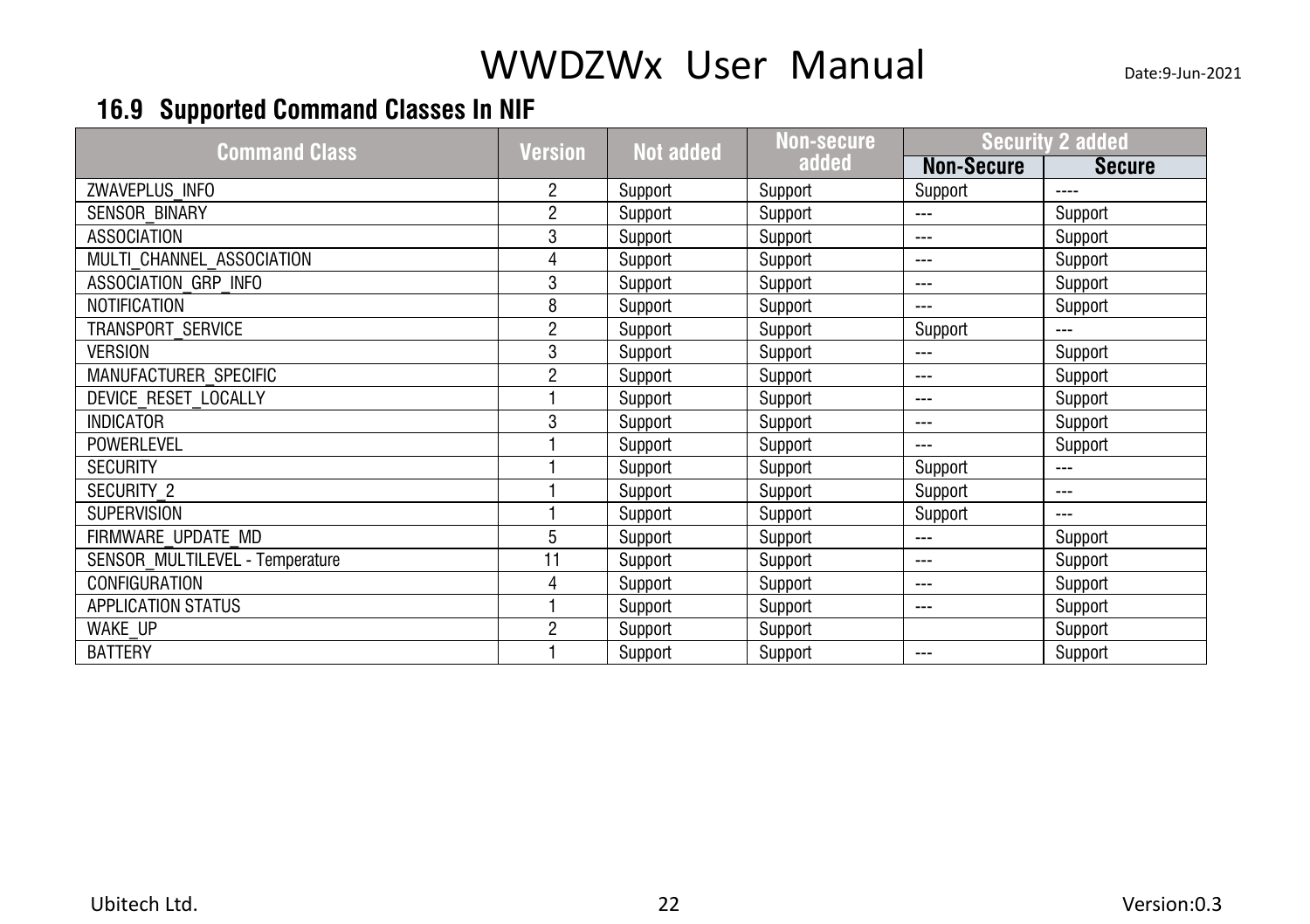### <span id="page-25-0"></span>**16.9 Supported Command Classes In NIF**

| <b>Command Class</b>            | <b>Version</b> | <b>Not added</b> | Non-s <del>ecure</del> | <b>Security 2 added</b> |               |
|---------------------------------|----------------|------------------|------------------------|-------------------------|---------------|
|                                 |                |                  | added                  | <b>Non-Secure</b>       | <b>Secure</b> |
| ZWAVEPLUS INFO                  | 2              | Support          | Support                | Support                 | $---$         |
| <b>SENSOR BINARY</b>            | 2              | Support          | Support                | $- - -$                 | Support       |
| <b>ASSOCIATION</b>              | 3              | Support          | Support                | $\frac{1}{2}$           | Support       |
| MULTI CHANNEL ASSOCIATION       |                | Support          | Support                | $\qquad \qquad -$       | Support       |
| ASSOCIATION GRP INFO            | 3              | Support          | Support                | $\sim$ $\sim$           | Support       |
| NOTIFICATION                    | 8              | Support          | Support                | $\frac{1}{2}$           | Support       |
| <b>TRANSPORT SERVICE</b>        | 2              | Support          | Support                | Support                 | $-$           |
| <b>VERSION</b>                  | 3              | Support          | Support                | $\sim$ $\sim$           | Support       |
| MANUFACTURER SPECIFIC           | 2              | Support          | Support                | $\qquad \qquad -$       | Support       |
| DEVICE RESET LOCALLY            |                | Support          | Support                | $\qquad \qquad -$       | Support       |
| <b>INDICATOR</b>                | 3              | Support          | Support                | $\frac{1}{2}$           | Support       |
| <b>POWERLEVEL</b>               |                | Support          | Support                | $\sim$ $\sim$           | Support       |
| <b>SECURITY</b>                 |                | Support          | Support                | Support                 | $---$         |
| <b>SECURITY 2</b>               |                | Support          | Support                | Support                 | $- - -$       |
| <b>SUPERVISION</b>              |                | Support          | Support                | Support                 | $- - -$       |
| FIRMWARE UPDATE MD              | 5              | Support          | Support                | $\sim$ $\sim$           | Support       |
| SENSOR MULTILEVEL - Temperature | 11             | Support          | Support                | $\sim$ $\sim$           | Support       |
| <b>CONFIGURATION</b>            |                | Support          | Support                | $\qquad \qquad \cdots$  | Support       |
| <b>APPLICATION STATUS</b>       |                | Support          | Support                | $\qquad \qquad -$       | Support       |
| <b>WAKE UP</b>                  | 2              | Support          | Support                |                         | Support       |
| <b>BATTERY</b>                  |                | Support          | Support                | $\frac{1}{2}$           | Support       |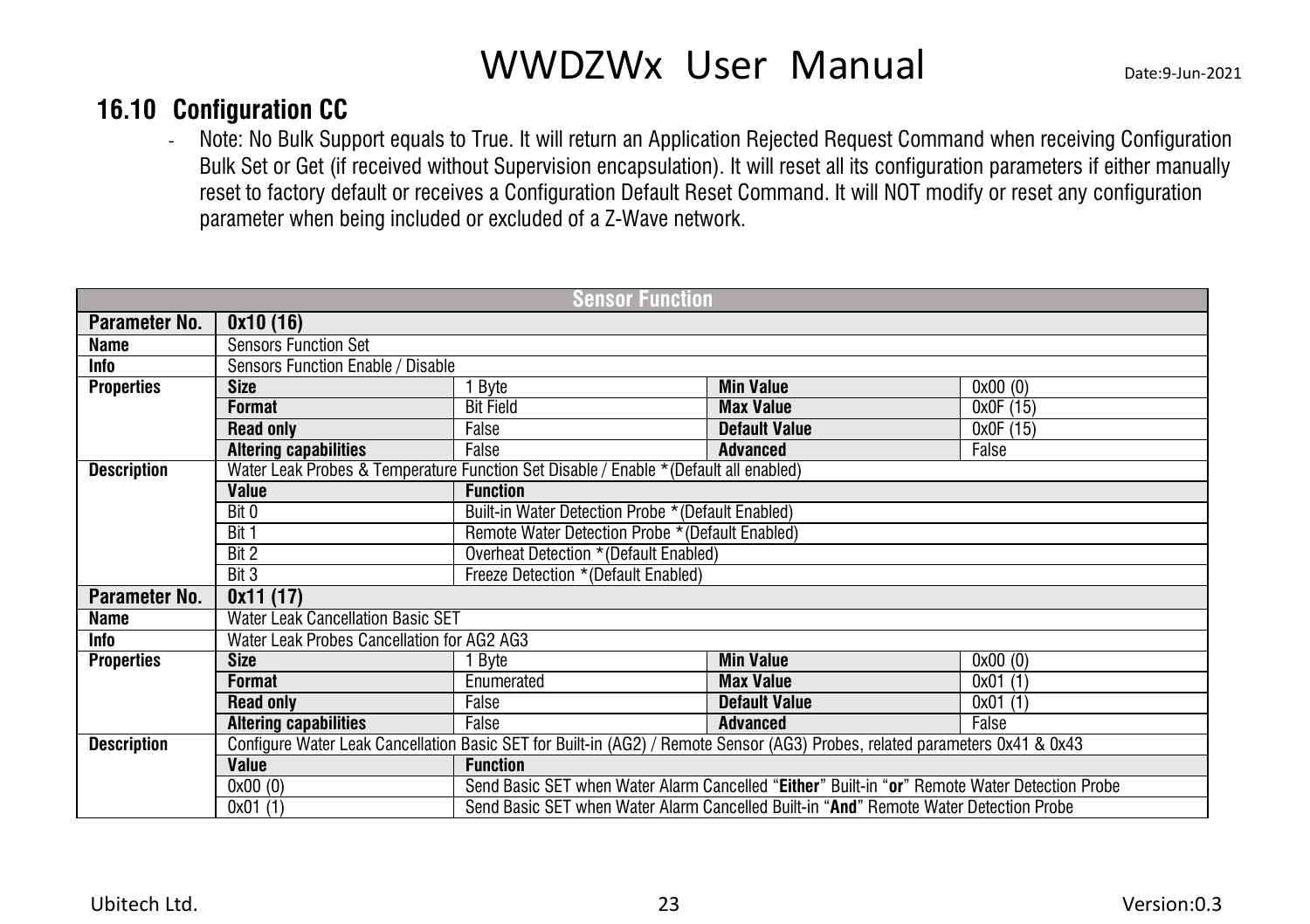#### **16.10 Configuration CC**

<span id="page-26-0"></span>- Note: No Bulk Support equals to True. It will return an Application Rejected Request Command when receiving Configuration Bulk Set or Get (if received without Supervision encapsulation). It will reset all its configuration parameters if either manually reset to factory default or receives a Configuration Default Reset Command. It will NOT modify or reset any configuration parameter when being included or excluded of a Z-Wave network.

|                    |                                            | <b>Sensor Function</b>                                                                                                      |                                                                                               |           |  |  |  |
|--------------------|--------------------------------------------|-----------------------------------------------------------------------------------------------------------------------------|-----------------------------------------------------------------------------------------------|-----------|--|--|--|
| Parameter No.      | 0x10(16)                                   |                                                                                                                             |                                                                                               |           |  |  |  |
| Name               | <b>Sensors Function Set</b>                |                                                                                                                             |                                                                                               |           |  |  |  |
| Info               | Sensors Function Enable / Disable          |                                                                                                                             |                                                                                               |           |  |  |  |
| <b>Properties</b>  | <b>Size</b>                                | Byte                                                                                                                        | <b>Min Value</b><br>0x00(0)                                                                   |           |  |  |  |
|                    | <b>Format</b>                              | <b>Bit Field</b>                                                                                                            | <b>Max Value</b>                                                                              | 0x0F (15) |  |  |  |
|                    | <b>Read only</b>                           | False                                                                                                                       | <b>Default Value</b>                                                                          | 0x0F (15) |  |  |  |
|                    | <b>Altering capabilities</b>               | False                                                                                                                       | <b>Advanced</b>                                                                               | False     |  |  |  |
| <b>Description</b> |                                            | Water Leak Probes & Temperature Function Set Disable / Enable * (Default all enabled)                                       |                                                                                               |           |  |  |  |
|                    | Value                                      | <b>Function</b>                                                                                                             |                                                                                               |           |  |  |  |
|                    | Bit 0                                      |                                                                                                                             | Built-in Water Detection Probe * (Default Enabled)                                            |           |  |  |  |
|                    | Bit 1                                      | Remote Water Detection Probe * (Default Enabled)                                                                            |                                                                                               |           |  |  |  |
|                    | Bit 2                                      | Overheat Detection * (Default Enabled)                                                                                      |                                                                                               |           |  |  |  |
|                    | Bit 3                                      | Freeze Detection *(Default Enabled)                                                                                         |                                                                                               |           |  |  |  |
| Parameter No.      | 0x11(17)                                   |                                                                                                                             |                                                                                               |           |  |  |  |
| Name               | <b>Water Leak Cancellation Basic SET</b>   |                                                                                                                             |                                                                                               |           |  |  |  |
| Info               | Water Leak Probes Cancellation for AG2 AG3 |                                                                                                                             |                                                                                               |           |  |  |  |
| <b>Properties</b>  | <b>Size</b>                                | Byte                                                                                                                        | <b>Min Value</b>                                                                              | 0x00(0)   |  |  |  |
|                    | <b>Format</b>                              | Enumerated                                                                                                                  | <b>Max Value</b>                                                                              | 0x01(1)   |  |  |  |
|                    | <b>Read only</b>                           | False                                                                                                                       | <b>Default Value</b>                                                                          | 0x01(1)   |  |  |  |
|                    | <b>Altering capabilities</b>               | False                                                                                                                       | <b>Advanced</b>                                                                               | False     |  |  |  |
| <b>Description</b> |                                            | Configure Water Leak Cancellation Basic SET for Built-in (AG2) / Remote Sensor (AG3) Probes, related parameters 0x41 & 0x43 |                                                                                               |           |  |  |  |
|                    | Value                                      | <b>Function</b>                                                                                                             |                                                                                               |           |  |  |  |
|                    | 0x00(0)                                    |                                                                                                                             | Send Basic SET when Water Alarm Cancelled "Either" Built-in "or" Remote Water Detection Probe |           |  |  |  |
|                    | $\overline{0x01}$ (1)                      |                                                                                                                             | Send Basic SET when Water Alarm Cancelled Built-in "And" Remote Water Detection Probe         |           |  |  |  |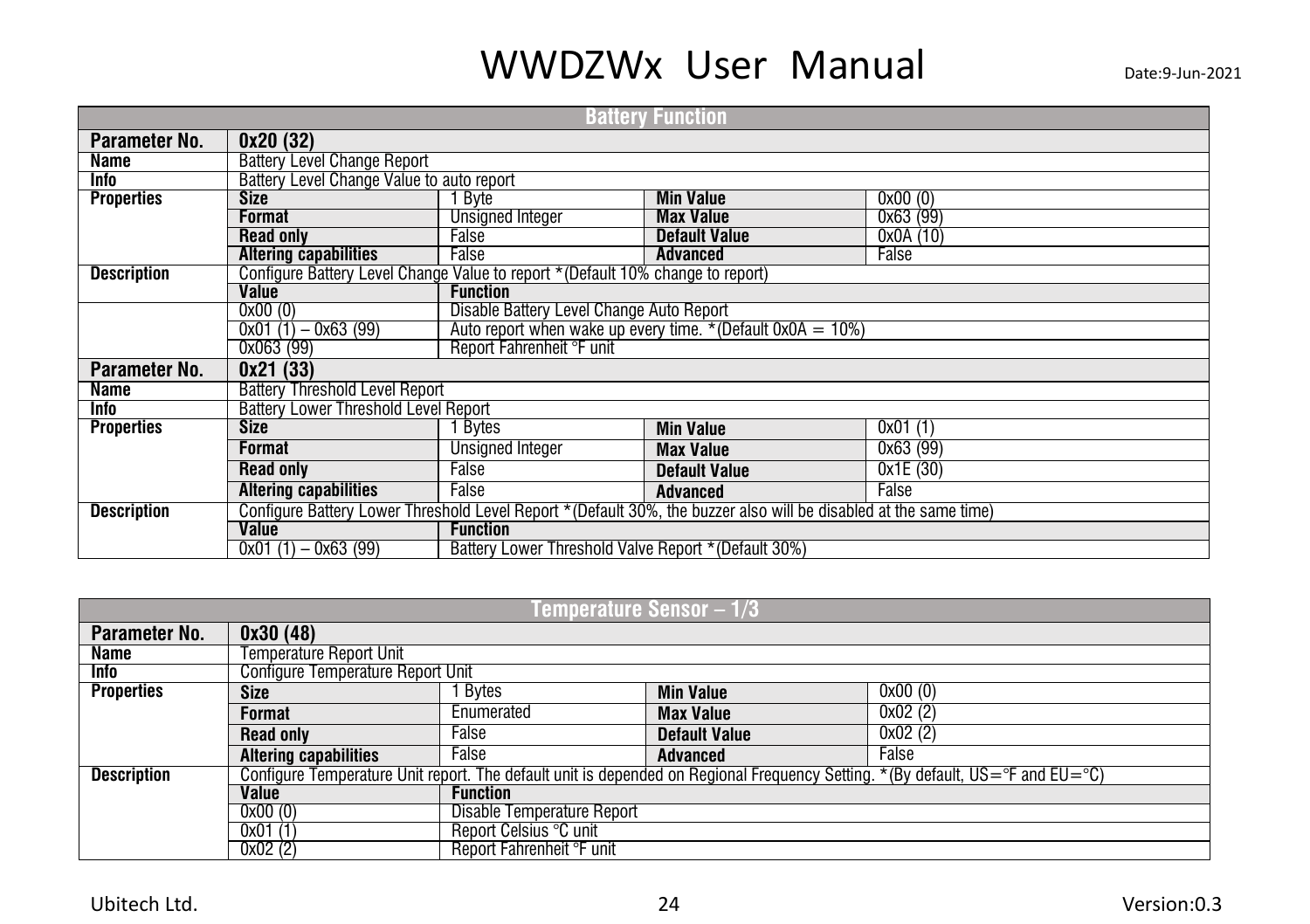| <b>Battery Function</b> |                                                                                |                                                                |                                                                                                                   |          |  |  |  |  |  |
|-------------------------|--------------------------------------------------------------------------------|----------------------------------------------------------------|-------------------------------------------------------------------------------------------------------------------|----------|--|--|--|--|--|
| Parameter No.           | 0x20(32)                                                                       |                                                                |                                                                                                                   |          |  |  |  |  |  |
| Name                    | <b>Battery Level Change Report</b>                                             |                                                                |                                                                                                                   |          |  |  |  |  |  |
| <b>Info</b>             | Battery Level Change Value to auto report                                      |                                                                |                                                                                                                   |          |  |  |  |  |  |
| <b>Properties</b>       | <b>Size</b>                                                                    | 1 Byte                                                         | <b>Min Value</b><br>0x00(0)                                                                                       |          |  |  |  |  |  |
|                         | Format                                                                         |                                                                | 0x63 (99)<br><b>Unsigned Integer</b><br><b>Max Value</b>                                                          |          |  |  |  |  |  |
|                         | <b>Read only</b>                                                               | False<br><b>Default Value</b><br>0x0A(10)                      |                                                                                                                   |          |  |  |  |  |  |
|                         | <b>Altering capabilities</b>                                                   | False                                                          | Advanced                                                                                                          | False    |  |  |  |  |  |
| <b>Description</b>      | Configure Battery Level Change Value to report *(Default 10% change to report) |                                                                |                                                                                                                   |          |  |  |  |  |  |
|                         | Value                                                                          | <b>Function</b>                                                |                                                                                                                   |          |  |  |  |  |  |
|                         | 0x00(0)                                                                        | Disable Battery Level Change Auto Report                       |                                                                                                                   |          |  |  |  |  |  |
|                         | $0x01(1) - 0x63(99)$                                                           | Auto report when wake up every time. * (Default $0x0A = 10\%)$ |                                                                                                                   |          |  |  |  |  |  |
|                         | 0x063 (99)                                                                     | Report Fahrenheit °F unit                                      |                                                                                                                   |          |  |  |  |  |  |
| Parameter No.           | 0x21(33)                                                                       |                                                                |                                                                                                                   |          |  |  |  |  |  |
| Name                    | <b>Battery Threshold Level Report</b>                                          |                                                                |                                                                                                                   |          |  |  |  |  |  |
| Info                    | <b>Battery Lower Threshold Level Report</b>                                    |                                                                |                                                                                                                   |          |  |  |  |  |  |
| <b>Properties</b>       | <b>Size</b>                                                                    | Bytes                                                          | <b>Min Value</b>                                                                                                  | 0x01(1)  |  |  |  |  |  |
|                         | Format                                                                         | Unsigned Integer                                               | <b>Max Value</b>                                                                                                  | 0x63(99) |  |  |  |  |  |
|                         | <b>Read only</b>                                                               | False                                                          | <b>Default Value</b>                                                                                              | 0x1E(30) |  |  |  |  |  |
|                         | <b>Altering capabilities</b>                                                   | False                                                          | <b>Advanced</b>                                                                                                   | False    |  |  |  |  |  |
| <b>Description</b>      |                                                                                |                                                                | Configure Battery Lower Threshold Level Report * (Default 30%, the buzzer also will be disabled at the same time) |          |  |  |  |  |  |
|                         | <b>Value</b>                                                                   | <b>Function</b>                                                |                                                                                                                   |          |  |  |  |  |  |
|                         | $0x01(1) - 0x63(99)$                                                           | Battery Lower Threshold Valve Report * (Default 30%)           |                                                                                                                   |          |  |  |  |  |  |

| Temperature Sensor – 1/3 |                                                                                                                                                              |                            |                      |         |  |  |  |  |
|--------------------------|--------------------------------------------------------------------------------------------------------------------------------------------------------------|----------------------------|----------------------|---------|--|--|--|--|
| Parameter No.            | 0x30(48)                                                                                                                                                     |                            |                      |         |  |  |  |  |
| Name                     | Temperature Report Unit                                                                                                                                      |                            |                      |         |  |  |  |  |
| Info                     | <b>Configure Temperature Report Unit</b>                                                                                                                     |                            |                      |         |  |  |  |  |
| <b>Properties</b>        | 0x00(0)<br>Bytes<br><b>Min Value</b><br>Size                                                                                                                 |                            |                      |         |  |  |  |  |
|                          | 0x02(2)<br><b>Max Value</b><br>Enumerated<br><b>Format</b>                                                                                                   |                            |                      |         |  |  |  |  |
|                          | <b>Read only</b>                                                                                                                                             | False                      | <b>Default Value</b> | 0x02(2) |  |  |  |  |
|                          | <b>Altering capabilities</b>                                                                                                                                 | False                      | <b>Advanced</b>      | False   |  |  |  |  |
| <b>Description</b>       | Configure Temperature Unit report. The default unit is depended on Regional Frequency Setting. *(By default, $US = \textdegree$ F and $EU = \textdegree C$ ) |                            |                      |         |  |  |  |  |
|                          | Value                                                                                                                                                        | <b>Function</b>            |                      |         |  |  |  |  |
|                          | 0x00(0)                                                                                                                                                      | Disable Temperature Report |                      |         |  |  |  |  |
|                          | 0x01(1)                                                                                                                                                      | Report Celsius °C unit     |                      |         |  |  |  |  |
|                          | 0x02(2)                                                                                                                                                      | Report Fahrenheit °F unit  |                      |         |  |  |  |  |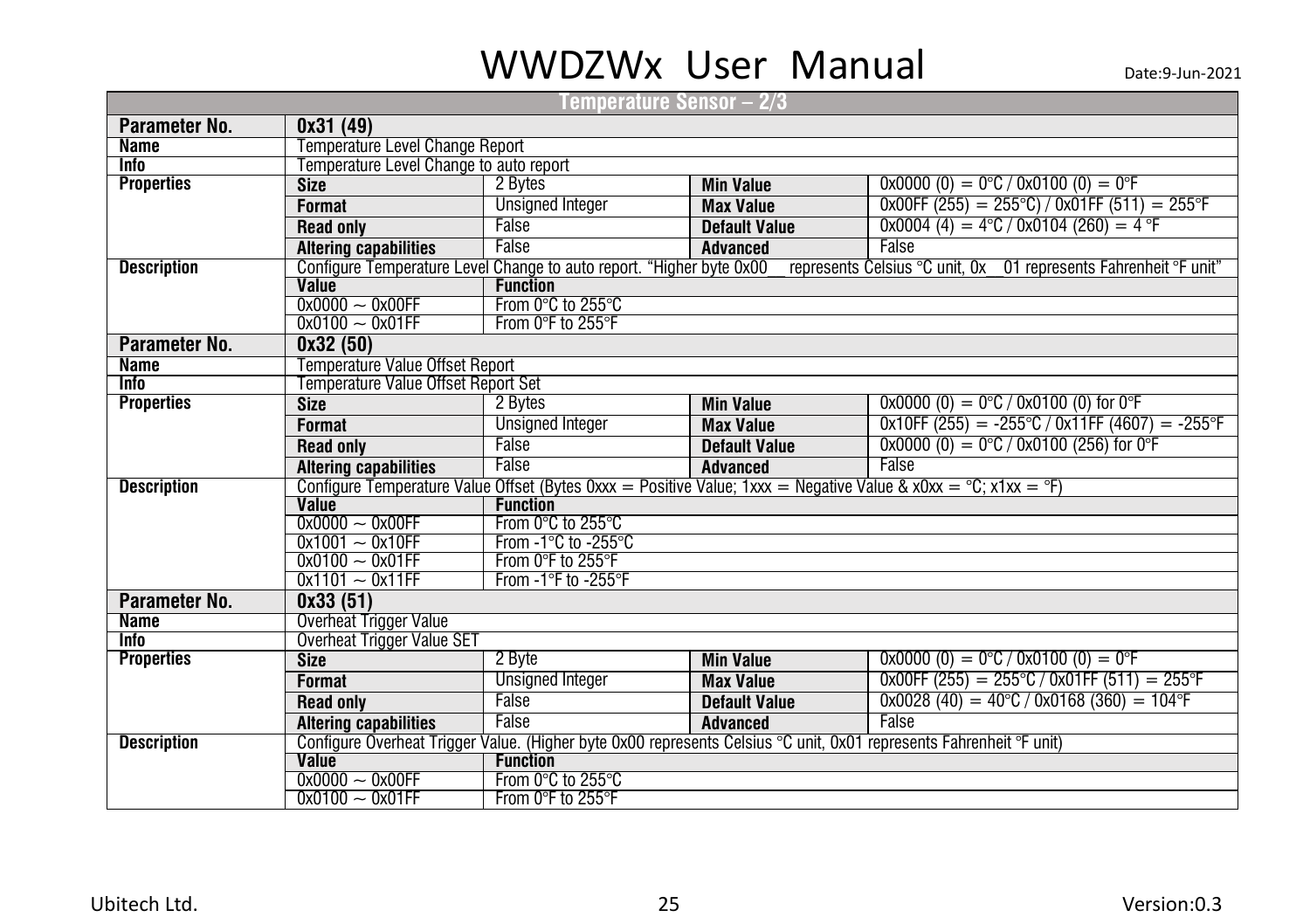|                                  |                                         | Temperature Sensor – 2/3                                             |                                                                       |                                                                                                                                    |  |  |  |
|----------------------------------|-----------------------------------------|----------------------------------------------------------------------|-----------------------------------------------------------------------|------------------------------------------------------------------------------------------------------------------------------------|--|--|--|
| Parameter No.                    | 0x31(49)                                |                                                                      |                                                                       |                                                                                                                                    |  |  |  |
| <b>Name</b>                      | Temperature Level Change Report         |                                                                      |                                                                       |                                                                                                                                    |  |  |  |
| <b>Info</b>                      | Temperature Level Change to auto report |                                                                      |                                                                       |                                                                                                                                    |  |  |  |
| <b>Properties</b>                | <b>Size</b>                             | 2 Bytes                                                              | $0x0000(0) = 0^{\circ}C / 0x0100(0) = 0^{\circ}F$<br><b>Min Value</b> |                                                                                                                                    |  |  |  |
|                                  | <b>Format</b>                           | <b>Unsigned Integer</b>                                              | <b>Max Value</b>                                                      | $0x00FF (255) = 255°C$ / 0x01FF (511) = 255°F                                                                                      |  |  |  |
|                                  | <b>Read only</b>                        | False                                                                | <b>Default Value</b>                                                  | $0x0004$ (4) = 4°C / 0x0104 (260) = 4 °F                                                                                           |  |  |  |
|                                  | <b>Altering capabilities</b>            | False                                                                | <b>Advanced</b>                                                       | False                                                                                                                              |  |  |  |
| <b>Description</b>               |                                         | Configure Temperature Level Change to auto report. "Higher byte 0x00 |                                                                       | represents Celsius °C unit, 0x 01 represents Fahrenheit °F unit"                                                                   |  |  |  |
|                                  | <b>Value</b>                            | <b>Function</b>                                                      |                                                                       |                                                                                                                                    |  |  |  |
|                                  | $0x0000 - 0x00FF$                       | From 0°C to 255°C                                                    |                                                                       |                                                                                                                                    |  |  |  |
|                                  | $0x0100 - 0x01FF$                       | From 0°F to 255°F                                                    |                                                                       |                                                                                                                                    |  |  |  |
| Parameter No.                    | 0x32(50)                                |                                                                      |                                                                       |                                                                                                                                    |  |  |  |
| <b>Name</b>                      | <b>Temperature Value Offset Report</b>  |                                                                      |                                                                       |                                                                                                                                    |  |  |  |
| <b>Info</b>                      | Temperature Value Offset Report Set     |                                                                      |                                                                       |                                                                                                                                    |  |  |  |
| <b>Properties</b>                | <b>Size</b>                             | 2 Bytes                                                              | <b>Min Value</b>                                                      | $0x0000(0) = 0^{\circ}C / 0x0100(0)$ for 0°F                                                                                       |  |  |  |
|                                  | <b>Format</b>                           | <b>Unsigned Integer</b>                                              | <b>Max Value</b>                                                      | $0x10FF (255) = -255°C / 0x11FF (4607) = -255°F$                                                                                   |  |  |  |
|                                  | <b>Read only</b>                        | False                                                                | <b>Default Value</b>                                                  | $0x0000(0) = 0^{\circ}C / 0x0100(256)$ for 0°F                                                                                     |  |  |  |
|                                  | <b>Altering capabilities</b>            | False                                                                | <b>Advanced</b>                                                       | False                                                                                                                              |  |  |  |
| <b>Description</b>               |                                         |                                                                      |                                                                       | Configure Temperature Value Offset (Bytes 0xxx = Positive Value; 1xxx = Negative Value & x0xx = $\degree C$ ; x1xx = $\degree F$ ) |  |  |  |
|                                  | Value                                   | <b>Function</b>                                                      |                                                                       |                                                                                                                                    |  |  |  |
|                                  | $0x0000 - 0x00FF$                       | From 0°C to 255°C                                                    |                                                                       |                                                                                                                                    |  |  |  |
|                                  | $0x1001 - 0x10FF$                       | From $-1^\circ$ C to $-255^\circ$ C                                  |                                                                       |                                                                                                                                    |  |  |  |
|                                  | $0x0100 - 0x01FF$                       | From 0°F to 255°F                                                    |                                                                       |                                                                                                                                    |  |  |  |
|                                  | $0x1101 - 0x11FF$                       | From -1°F to -255°F                                                  |                                                                       |                                                                                                                                    |  |  |  |
| Parameter No.                    | 0x33(51)                                |                                                                      |                                                                       |                                                                                                                                    |  |  |  |
| <b>Name</b>                      | Overheat Trigger Value                  |                                                                      |                                                                       |                                                                                                                                    |  |  |  |
| <b>Info</b><br><b>Properties</b> | <b>Overheat Trigger Value SET</b>       | 2 Byte                                                               |                                                                       | $0x0000(0) = 0°C / 0x0100(0) = 0°C$                                                                                                |  |  |  |
|                                  | <b>Size</b>                             |                                                                      | <b>Min Value</b>                                                      |                                                                                                                                    |  |  |  |
|                                  | <b>Format</b>                           | <b>Unsigned Integer</b>                                              | <b>Max Value</b>                                                      | $0x00FF$ (255) = 255°C / 0x01FF (511) = 255°F                                                                                      |  |  |  |
|                                  | <b>Read only</b>                        | False                                                                | <b>Default Value</b>                                                  | $0x0028(40) = 40^{\circ}C / 0x0168(360) = 104^{\circ}F$                                                                            |  |  |  |
|                                  | <b>Altering capabilities</b>            | False                                                                | <b>Advanced</b>                                                       | False                                                                                                                              |  |  |  |
| <b>Description</b>               |                                         |                                                                      |                                                                       | Configure Overheat Trigger Value. (Higher byte 0x00 represents Celsius °C unit, 0x01 represents Fahrenheit °F unit)                |  |  |  |
|                                  | Value                                   | <b>Function</b>                                                      |                                                                       |                                                                                                                                    |  |  |  |
|                                  | $0x0000 - 0x00FF$                       | From 0°C to 255°C                                                    |                                                                       |                                                                                                                                    |  |  |  |
|                                  | $0x0100 - 0x01FF$                       | From 0°F to 255°F                                                    |                                                                       |                                                                                                                                    |  |  |  |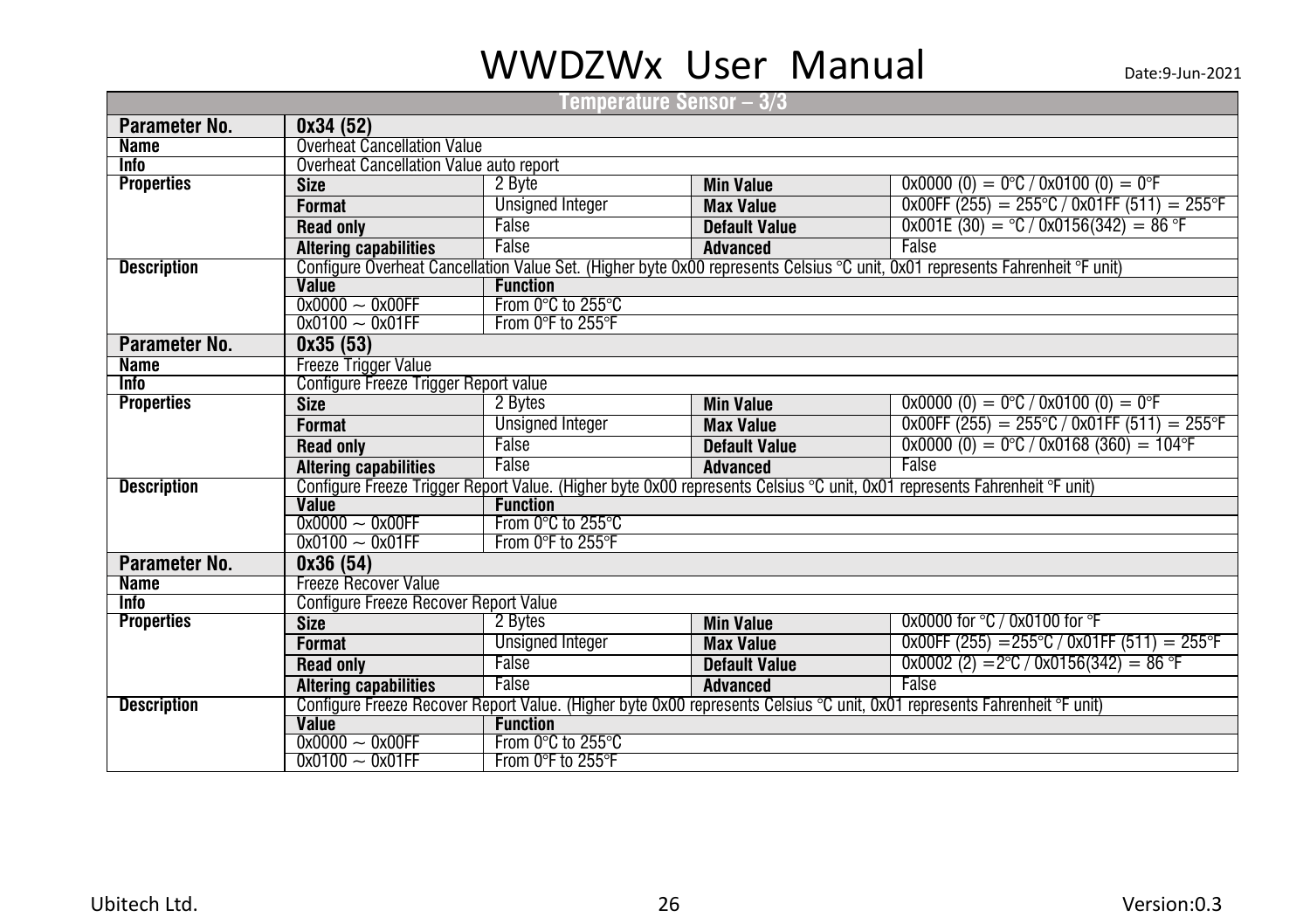| Temperature Sensor – 3/3 |                                              |                         |                      |                                                                                                                              |  |  |
|--------------------------|----------------------------------------------|-------------------------|----------------------|------------------------------------------------------------------------------------------------------------------------------|--|--|
| Parameter No.            | 0x34 (52)                                    |                         |                      |                                                                                                                              |  |  |
| <b>Name</b>              | <b>Overheat Cancellation Value</b>           |                         |                      |                                                                                                                              |  |  |
| <b>Info</b>              | Overheat Cancellation Value auto report      |                         |                      |                                                                                                                              |  |  |
| <b>Properties</b>        | <b>Size</b>                                  | 2 Byte                  | <b>Min Value</b>     | $0x0000(0) = 0°C / 0x0100(0) = 0°F$                                                                                          |  |  |
|                          | <b>Format</b>                                | <b>Unsigned Integer</b> | <b>Max Value</b>     | $0x00FF (255) = 255°C / 0x01FF (511) = 255°F$                                                                                |  |  |
|                          | <b>Read only</b>                             | False                   | <b>Default Value</b> | $0x001E(30) = C/0x0156(342) = 86 F$                                                                                          |  |  |
|                          | <b>Altering capabilities</b>                 | False                   | <b>Advanced</b>      | False                                                                                                                        |  |  |
| <b>Description</b>       |                                              |                         |                      | Configure Overheat Cancellation Value Set. (Higher byte 0x00 represents Celsius °C unit, 0x01 represents Fahrenheit °F unit) |  |  |
|                          | <b>Value</b>                                 | <b>Function</b>         |                      |                                                                                                                              |  |  |
|                          | $0x0000 - 0x00FF$                            | From 0°C to 255°C       |                      |                                                                                                                              |  |  |
|                          | $0x0100 - 0x01FF$                            | From 0°F to 255°F       |                      |                                                                                                                              |  |  |
| Parameter No.            | 0x35(53)                                     |                         |                      |                                                                                                                              |  |  |
| <b>Name</b>              | Freeze Trigger Value                         |                         |                      |                                                                                                                              |  |  |
| <b>Info</b>              | Configure Freeze Trigger Report value        |                         |                      |                                                                                                                              |  |  |
| <b>Properties</b>        | <b>Size</b>                                  | 2 Bytes                 | <b>Min Value</b>     | $0x0000(0) = 0^{\circ}C / 0x0100(0) = 0^{\circ}F$                                                                            |  |  |
|                          | <b>Format</b>                                | <b>Unsigned Integer</b> | <b>Max Value</b>     | $0x00FF (255) = 255°C / 0x01FF (511) = 255°F$                                                                                |  |  |
|                          | <b>Read only</b>                             | False                   | <b>Default Value</b> | $0x0000(0) = 0^{\circ}C / 0x0168(360) = 104^{\circ}F$                                                                        |  |  |
|                          | <b>Altering capabilities</b>                 | False                   | Advanced             | False                                                                                                                        |  |  |
| <b>Description</b>       |                                              |                         |                      | Configure Freeze Trigger Report Value. (Higher byte 0x00 represents Celsius °C unit, 0x01 represents Fahrenheit °F unit)     |  |  |
|                          | <b>Value</b>                                 |                         | <b>Function</b>      |                                                                                                                              |  |  |
|                          | $0x0000 - 0x00FF$                            | From 0°C to 255°C       |                      |                                                                                                                              |  |  |
|                          | $0x0100 - 0x01FF$                            | From 0°F to 255°F       |                      |                                                                                                                              |  |  |
| Parameter No.            | 0x36(54)                                     |                         |                      |                                                                                                                              |  |  |
| <b>Name</b>              | <b>Freeze Recover Value</b>                  |                         |                      |                                                                                                                              |  |  |
| <b>Info</b>              | <b>Configure Freeze Recover Report Value</b> |                         |                      |                                                                                                                              |  |  |
| <b>Properties</b>        | <b>Size</b>                                  | 2 Bytes                 | <b>Min Value</b>     | $0x0000$ for $°C$ / 0x0100 for $°F$                                                                                          |  |  |
|                          | <b>Format</b>                                | <b>Unsigned Integer</b> | <b>Max Value</b>     | $0x00FF (255) = 255°C / 0x01FF (511) = 255°F$                                                                                |  |  |
|                          | <b>Read only</b>                             | False                   | <b>Default Value</b> | $0x0002$ (2) = 2°C / 0x0156(342) = 86 °F                                                                                     |  |  |
|                          | <b>Altering capabilities</b>                 | False                   | <b>Advanced</b>      | False                                                                                                                        |  |  |
| <b>Description</b>       |                                              |                         |                      | Configure Freeze Recover Report Value. (Higher byte 0x00 represents Celsius °C unit, 0x01 represents Fahrenheit °F unit)     |  |  |
|                          | <b>Value</b>                                 | <b>Function</b>         |                      |                                                                                                                              |  |  |
|                          | $0x0000 - 0x00FF$                            | From 0°C to 255°C       |                      |                                                                                                                              |  |  |
|                          | $0x0100 - 0x01FF$                            | From 0°F to 255°F       |                      |                                                                                                                              |  |  |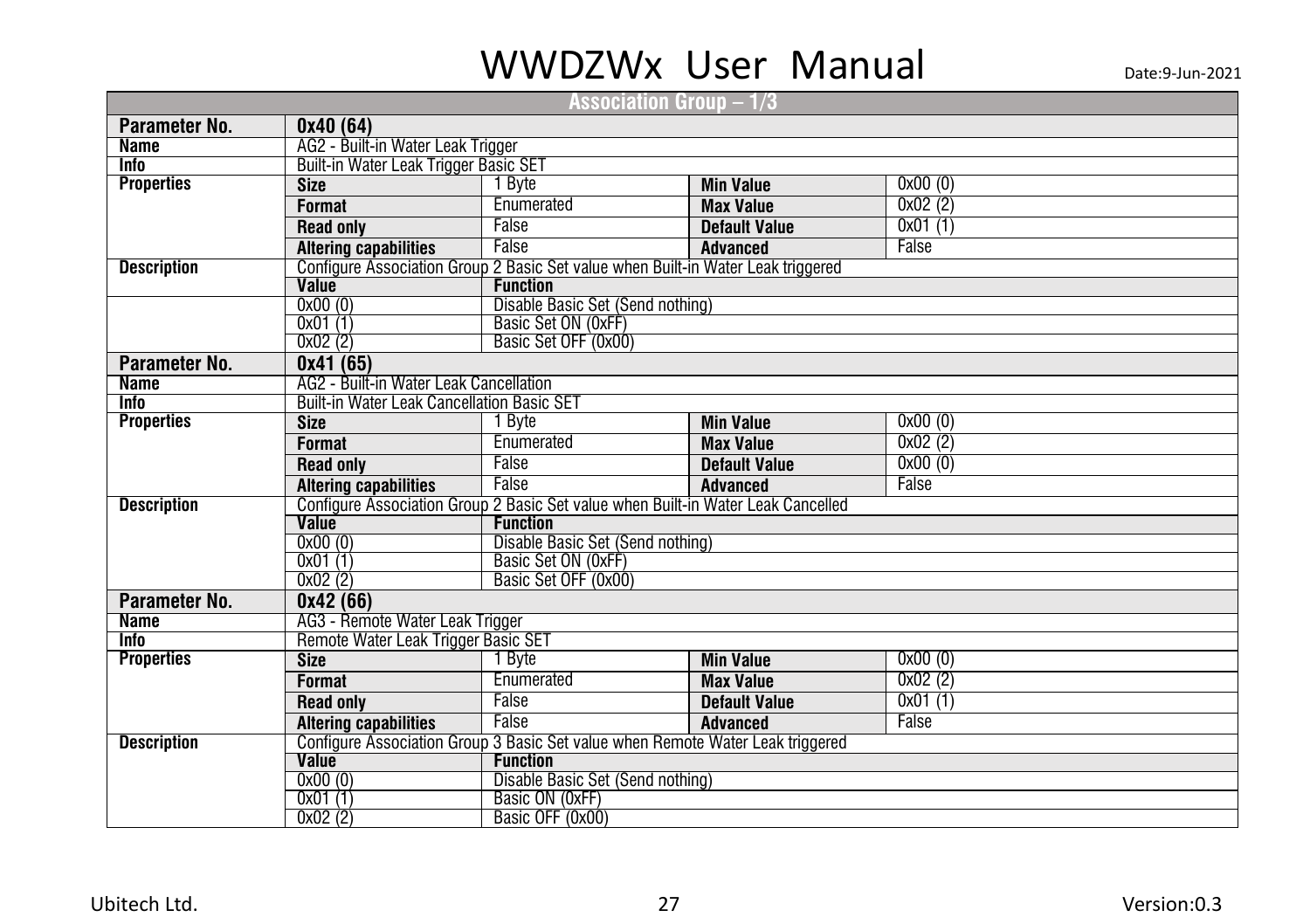|                    |                                                                                  |                                  | Association Group $-$ 1/3 $\,$                                                   |         |  |  |
|--------------------|----------------------------------------------------------------------------------|----------------------------------|----------------------------------------------------------------------------------|---------|--|--|
| Parameter No.      | 0x40(64)                                                                         |                                  |                                                                                  |         |  |  |
| <b>Name</b>        | AG2 - Built-in Water Leak Trigger                                                |                                  |                                                                                  |         |  |  |
| <b>Info</b>        | Built-in Water Leak Trigger Basic SET                                            |                                  |                                                                                  |         |  |  |
| <b>Properties</b>  | <b>Size</b>                                                                      | 1 Byte                           | <b>Min Value</b>                                                                 | 0x00(0) |  |  |
|                    | <b>Format</b>                                                                    | Enumerated                       | <b>Max Value</b>                                                                 | 0x02(2) |  |  |
|                    | <b>Read only</b>                                                                 | False                            | <b>Default Value</b>                                                             | 0x01(1) |  |  |
|                    | <b>Altering capabilities</b>                                                     | False                            | <b>Advanced</b>                                                                  | False   |  |  |
| <b>Description</b> |                                                                                  |                                  | Configure Association Group 2 Basic Set value when Built-in Water Leak triggered |         |  |  |
|                    | Value                                                                            | <b>Function</b>                  |                                                                                  |         |  |  |
|                    | 0x00(0)                                                                          | Disable Basic Set (Send nothing) |                                                                                  |         |  |  |
|                    | 0x01(1)                                                                          | Basic Set ON (OxFF)              |                                                                                  |         |  |  |
|                    | 0x02(2)                                                                          | Basic Set OFF (0x00)             |                                                                                  |         |  |  |
| Parameter No.      | 0x41(65)                                                                         |                                  |                                                                                  |         |  |  |
| <b>Name</b>        | AG2 - Built-in Water Leak Cancellation                                           |                                  |                                                                                  |         |  |  |
| <b>Info</b>        | <b>Built-in Water Leak Cancellation Basic SET</b>                                |                                  |                                                                                  |         |  |  |
| <b>Properties</b>  | <b>Size</b>                                                                      | 1 Byte                           | <b>Min Value</b>                                                                 | 0x00(0) |  |  |
|                    | <b>Format</b>                                                                    | Enumerated                       | <b>Max Value</b>                                                                 | 0x02(2) |  |  |
|                    | <b>Read only</b>                                                                 | False                            | <b>Default Value</b>                                                             | 0x00(0) |  |  |
|                    | <b>Altering capabilities</b>                                                     | False                            | <b>Advanced</b>                                                                  | False   |  |  |
| <b>Description</b> | Configure Association Group 2 Basic Set value when Built-in Water Leak Cancelled |                                  |                                                                                  |         |  |  |
|                    | Value<br><b>Function</b>                                                         |                                  |                                                                                  |         |  |  |
|                    | 0x00(0)                                                                          | Disable Basic Set (Send nothing) |                                                                                  |         |  |  |
|                    | 0x01(1)                                                                          | Basic Set ON (0xFF)              |                                                                                  |         |  |  |
|                    | 0x02(2)                                                                          | Basic Set OFF (0x00)             |                                                                                  |         |  |  |
| Parameter No.      | 0x42(66)                                                                         |                                  |                                                                                  |         |  |  |
| <b>Name</b>        | AG3 - Remote Water Leak Trigger                                                  |                                  |                                                                                  |         |  |  |
| <b>Info</b>        | Remote Water Leak Trigger Basic SET                                              |                                  |                                                                                  |         |  |  |
| <b>Properties</b>  | <b>Size</b>                                                                      | 1 Byte                           | <b>Min Value</b>                                                                 | 0x00(0) |  |  |
|                    | <b>Format</b>                                                                    | Enumerated                       | <b>Max Value</b>                                                                 | 0x02(2) |  |  |
|                    | <b>Read only</b>                                                                 | False                            | <b>Default Value</b>                                                             | 0x01(1) |  |  |
|                    | <b>Altering capabilities</b>                                                     | False                            | <b>Advanced</b>                                                                  | False   |  |  |
| <b>Description</b> |                                                                                  |                                  | Configure Association Group 3 Basic Set value when Remote Water Leak triggered   |         |  |  |
|                    | Value<br><b>Function</b>                                                         |                                  |                                                                                  |         |  |  |
|                    | 0x00(0)                                                                          | Disable Basic Set (Send nothing) |                                                                                  |         |  |  |
|                    | 0x01(1)                                                                          | Basic ON (0xFF)                  |                                                                                  |         |  |  |
|                    | 0x02(2)                                                                          | Basic OFF (0x00)                 |                                                                                  |         |  |  |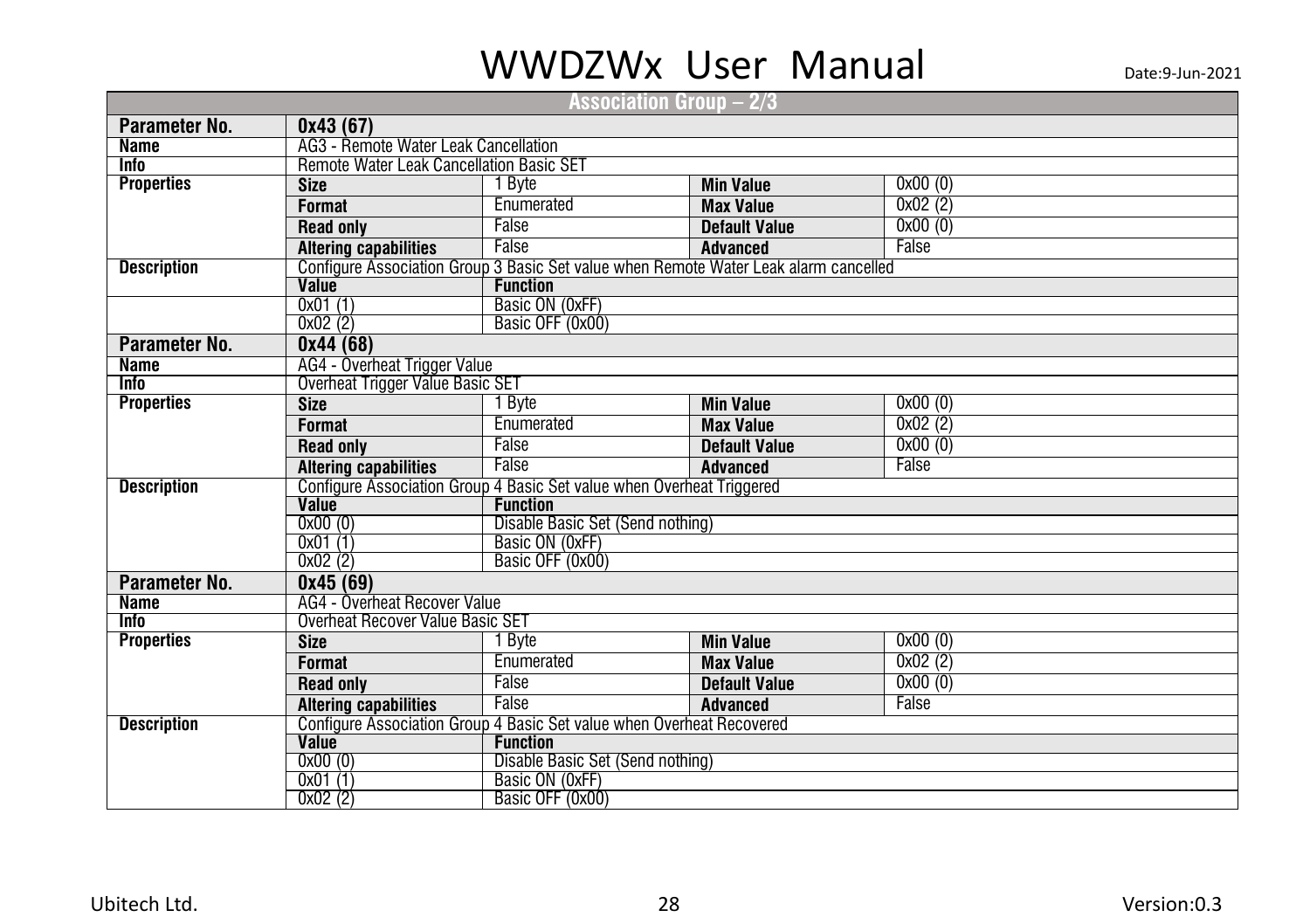|                    |                                                                       |                                  | Association Group – 2/3                                                              |         |  |  |  |
|--------------------|-----------------------------------------------------------------------|----------------------------------|--------------------------------------------------------------------------------------|---------|--|--|--|
| Parameter No.      | 0x43(67)                                                              |                                  |                                                                                      |         |  |  |  |
| <b>Name</b>        | <b>AG3</b> - Remote Water Leak Cancellation                           |                                  |                                                                                      |         |  |  |  |
| <b>Info</b>        | <b>Remote Water Leak Cancellation Basic SET</b>                       |                                  |                                                                                      |         |  |  |  |
| <b>Properties</b>  | <b>Size</b>                                                           | 1 Byte                           | <b>Min Value</b>                                                                     | 0x00(0) |  |  |  |
|                    | <b>Format</b>                                                         | Enumerated                       | <b>Max Value</b>                                                                     | 0x02(2) |  |  |  |
|                    | <b>Read only</b>                                                      | False                            | <b>Default Value</b>                                                                 | 0x00(0) |  |  |  |
|                    | <b>Altering capabilities</b>                                          | False                            | <b>Advanced</b>                                                                      | False   |  |  |  |
| <b>Description</b> |                                                                       |                                  | Configure Association Group 3 Basic Set value when Remote Water Leak alarm cancelled |         |  |  |  |
|                    | Value                                                                 | <b>Function</b>                  |                                                                                      |         |  |  |  |
|                    | 0x01(1)                                                               | Basic ON (0xFF)                  |                                                                                      |         |  |  |  |
|                    | 0x02(2)                                                               | Basic OFF (0x00)                 |                                                                                      |         |  |  |  |
| Parameter No.      | 0x44(68)                                                              |                                  |                                                                                      |         |  |  |  |
| <b>Name</b>        | AG4 - Overheat Trigger Value                                          |                                  |                                                                                      |         |  |  |  |
| <b>Info</b>        | Overheat Trigger Value Basic SET                                      |                                  |                                                                                      |         |  |  |  |
| <b>Properties</b>  | <b>Size</b>                                                           | 1 Byte                           | <b>Min Value</b>                                                                     | 0x00(0) |  |  |  |
|                    | <b>Format</b>                                                         | Enumerated                       | <b>Max Value</b>                                                                     | 0x02(2) |  |  |  |
|                    | <b>Read only</b>                                                      | False                            | <b>Default Value</b>                                                                 | 0x00(0) |  |  |  |
|                    | <b>Altering capabilities</b>                                          | False                            | <b>Advanced</b>                                                                      | False   |  |  |  |
| <b>Description</b> | Configure Association Group 4 Basic Set value when Overheat Triggered |                                  |                                                                                      |         |  |  |  |
|                    | Value                                                                 | <b>Function</b>                  |                                                                                      |         |  |  |  |
|                    | 0x00(0)                                                               | Disable Basic Set (Send nothing) |                                                                                      |         |  |  |  |
|                    | 0x01(1)                                                               | Basic ON (0xFF)                  |                                                                                      |         |  |  |  |
|                    | 0x02(2)                                                               | Basic OFF (0x00)                 |                                                                                      |         |  |  |  |
| Parameter No.      | 0x45(69)                                                              |                                  |                                                                                      |         |  |  |  |
| <b>Name</b>        | AG4 - Overheat Recover Value                                          |                                  |                                                                                      |         |  |  |  |
| <b>Info</b>        | <b>Overheat Recover Value Basic SET</b>                               |                                  |                                                                                      |         |  |  |  |
| <b>Properties</b>  | <b>Size</b>                                                           | I Byte                           | <b>Min Value</b>                                                                     | 0x00(0) |  |  |  |
|                    | <b>Format</b>                                                         | Enumerated                       | <b>Max Value</b>                                                                     | 0x02(2) |  |  |  |
|                    | <b>Read only</b>                                                      | False                            | <b>Default Value</b>                                                                 | 0x00(0) |  |  |  |
|                    | <b>Altering capabilities</b>                                          | False                            | <b>Advanced</b>                                                                      | False   |  |  |  |
| <b>Description</b> | Configure Association Group 4 Basic Set value when Overheat Recovered |                                  |                                                                                      |         |  |  |  |
|                    | <b>Value</b>                                                          | <b>Function</b>                  |                                                                                      |         |  |  |  |
|                    | 0x00(0)                                                               | Disable Basic Set (Send nothing) |                                                                                      |         |  |  |  |
|                    | 0x01(1)<br>0x02(2)                                                    | Basic ON (OxFF)                  |                                                                                      |         |  |  |  |
|                    |                                                                       | Basic OFF (0x00)                 |                                                                                      |         |  |  |  |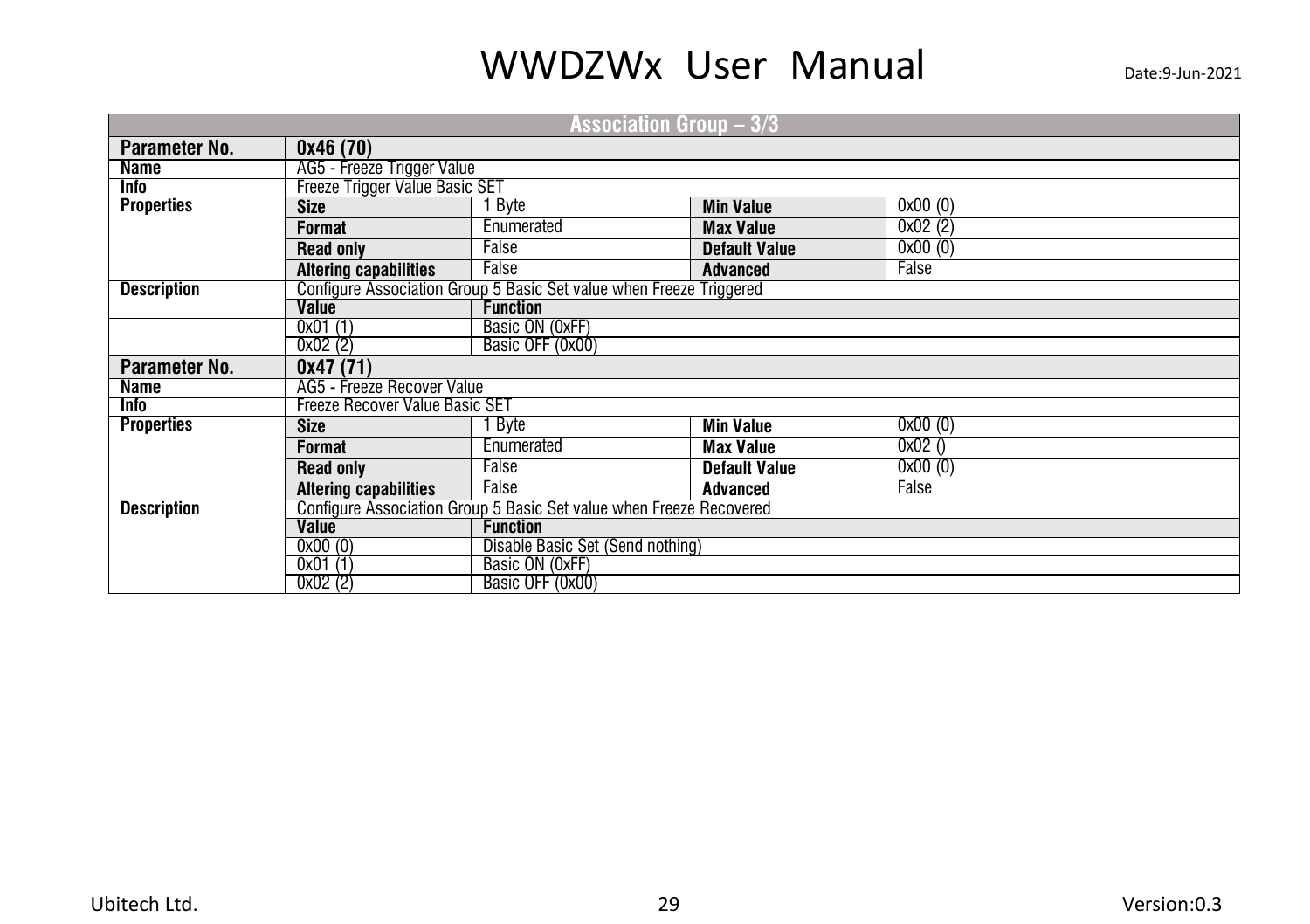| Association Group $-3/3$ |                                       |                                                                     |                      |         |  |  |  |
|--------------------------|---------------------------------------|---------------------------------------------------------------------|----------------------|---------|--|--|--|
| Parameter No.            | 0x46(70)                              |                                                                     |                      |         |  |  |  |
| Name                     | AG5 - Freeze Trigger Value            |                                                                     |                      |         |  |  |  |
| Info                     | <b>Freeze Trigger Value Basic SET</b> |                                                                     |                      |         |  |  |  |
| <b>Properties</b>        | <b>Size</b>                           | 0x00(0)<br>Byte<br><b>Min Value</b>                                 |                      |         |  |  |  |
|                          | Format                                | 0x02(2)<br>Enumerated<br><b>Max Value</b>                           |                      |         |  |  |  |
|                          | <b>Read only</b>                      | False<br>0x00(0)<br><b>Default Value</b>                            |                      |         |  |  |  |
|                          | <b>Altering capabilities</b>          | False<br>False<br><b>Advanced</b>                                   |                      |         |  |  |  |
| <b>Description</b>       |                                       | Configure Association Group 5 Basic Set value when Freeze Triggered |                      |         |  |  |  |
|                          | <b>Value</b>                          | <b>Function</b>                                                     |                      |         |  |  |  |
|                          | 0x01(1)                               | Basic ON (OxFF)                                                     |                      |         |  |  |  |
|                          | 0x02(2)                               | Basic OFF (0x00)                                                    |                      |         |  |  |  |
| Parameter No.            | 0x47(71)                              |                                                                     |                      |         |  |  |  |
| Name                     | AG5 - Freeze Recover Value            |                                                                     |                      |         |  |  |  |
| <b>Info</b>              | <b>Freeze Recover Value Basic SET</b> |                                                                     |                      |         |  |  |  |
| <b>Properties</b>        | <b>Size</b>                           | Byte                                                                | <b>Min Value</b>     | 0x00(0) |  |  |  |
|                          | Format                                | Enumerated                                                          | <b>Max Value</b>     | 0x02()  |  |  |  |
|                          | <b>Read only</b>                      | False                                                               | <b>Default Value</b> | 0x00(0) |  |  |  |
|                          | <b>Altering capabilities</b>          | False                                                               | <b>Advanced</b>      | False   |  |  |  |
| <b>Description</b>       |                                       | Configure Association Group 5 Basic Set value when Freeze Recovered |                      |         |  |  |  |
|                          | <b>Value</b>                          | <b>Function</b>                                                     |                      |         |  |  |  |
|                          | 0x00(0)                               | Disable Basic Set (Send nothing)                                    |                      |         |  |  |  |
|                          | 0x01(1)                               | Basic ON (0xFF)                                                     |                      |         |  |  |  |
|                          | 0x02(2)                               | Basic OFF (0x00)                                                    |                      |         |  |  |  |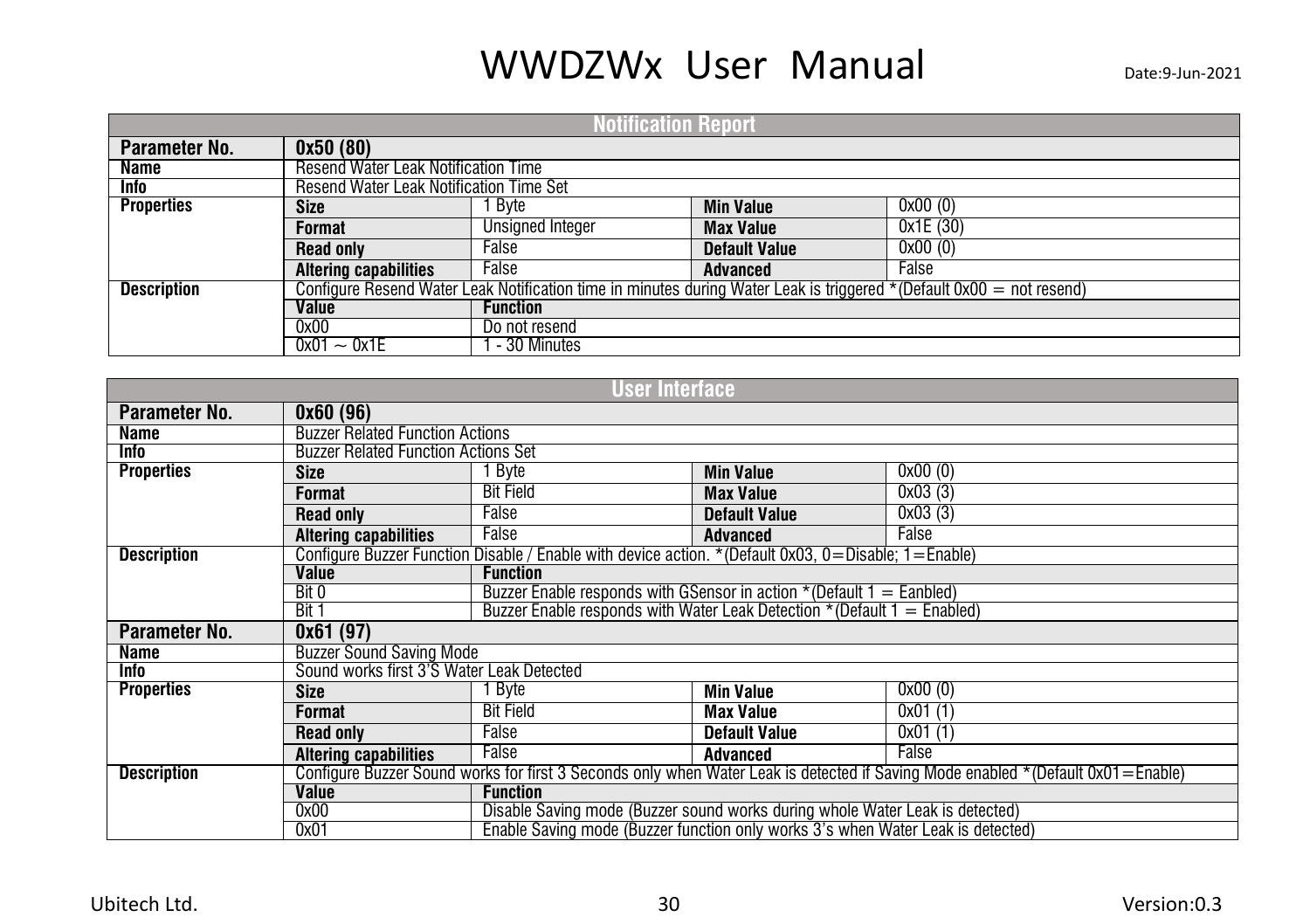| <b>Notification Report</b> |                                                                                                                         |                         |                  |          |  |  |  |
|----------------------------|-------------------------------------------------------------------------------------------------------------------------|-------------------------|------------------|----------|--|--|--|
| Parameter No.              | 0x50(80)                                                                                                                |                         |                  |          |  |  |  |
| Name                       | Resend Water Leak Notification Time                                                                                     |                         |                  |          |  |  |  |
| Info                       | Resend Water Leak Notification Time Set                                                                                 |                         |                  |          |  |  |  |
| <b>Properties</b>          | <b>Size</b>                                                                                                             | Byte                    | <b>Min Value</b> | 0x00(0)  |  |  |  |
|                            | Format                                                                                                                  | <b>Unsigned Integer</b> | <b>Max Value</b> | 0x1E(30) |  |  |  |
|                            | 0x00(0)<br>False<br><b>Read only</b><br><b>Default Value</b>                                                            |                         |                  |          |  |  |  |
|                            | <b>Altering capabilities</b>                                                                                            | False                   | <b>Advanced</b>  | False    |  |  |  |
| <b>Description</b>         | Configure Resend Water Leak Notification time in minutes during Water Leak is triggered $*$ (Default 0x00 = not resend) |                         |                  |          |  |  |  |
|                            | Value                                                                                                                   | <b>Function</b>         |                  |          |  |  |  |
|                            | 0x00<br>Do not resend                                                                                                   |                         |                  |          |  |  |  |
|                            | $0x01 - 0x1E$                                                                                                           | - 30 Minutes            |                  |          |  |  |  |

|                    |                                            | User Interface                                                                                                                  |                                                                           |         |  |  |  |  |
|--------------------|--------------------------------------------|---------------------------------------------------------------------------------------------------------------------------------|---------------------------------------------------------------------------|---------|--|--|--|--|
| Parameter No.      | 0x60(96)                                   |                                                                                                                                 |                                                                           |         |  |  |  |  |
| Name               | <b>Buzzer Related Function Actions</b>     |                                                                                                                                 |                                                                           |         |  |  |  |  |
| <b>Info</b>        | <b>Buzzer Related Function Actions Set</b> |                                                                                                                                 |                                                                           |         |  |  |  |  |
| <b>Properties</b>  | <b>Size</b>                                | 1 Byte                                                                                                                          | <b>Min Value</b>                                                          | 0x00(0) |  |  |  |  |
|                    | Format                                     | <b>Bit Field</b>                                                                                                                | <b>Max Value</b>                                                          | 0x03(3) |  |  |  |  |
|                    | <b>Read only</b>                           | False                                                                                                                           | <b>Default Value</b>                                                      | 0x03(3) |  |  |  |  |
|                    | <b>Altering capabilities</b>               | False                                                                                                                           | <b>Advanced</b>                                                           | False   |  |  |  |  |
| <b>Description</b> |                                            | Configure Buzzer Function Disable / Enable with device action. * (Default 0x03, 0=Disable; 1=Enable)                            |                                                                           |         |  |  |  |  |
|                    | Value                                      | <b>Function</b>                                                                                                                 |                                                                           |         |  |  |  |  |
|                    | Bit 0                                      |                                                                                                                                 | Buzzer Enable responds with GSensor in action $*($ Default $1 =$ Eanbled) |         |  |  |  |  |
|                    | Bit 1                                      | Buzzer Enable responds with Water Leak Detection *(Default $1 =$ Enabled)                                                       |                                                                           |         |  |  |  |  |
| Parameter No.      | 0x61(97)                                   |                                                                                                                                 |                                                                           |         |  |  |  |  |
| Name               | <b>Buzzer Sound Saving Mode</b>            |                                                                                                                                 |                                                                           |         |  |  |  |  |
| Info               |                                            | Sound works first 3'S Water Leak Detected                                                                                       |                                                                           |         |  |  |  |  |
| <b>Properties</b>  | <b>Size</b>                                | Byte                                                                                                                            | <b>Min Value</b>                                                          | 0x00(0) |  |  |  |  |
|                    | Format                                     | <b>Bit Field</b>                                                                                                                | <b>Max Value</b>                                                          | 0x01(1) |  |  |  |  |
|                    | <b>Read only</b>                           | False<br>0x01(1)<br><b>Default Value</b>                                                                                        |                                                                           |         |  |  |  |  |
|                    | False                                      |                                                                                                                                 |                                                                           |         |  |  |  |  |
| <b>Description</b> |                                            | Configure Buzzer Sound works for first 3 Seconds only when Water Leak is detected if Saving Mode enabled *(Default 0x01=Enable) |                                                                           |         |  |  |  |  |
|                    | Value<br><b>Function</b>                   |                                                                                                                                 |                                                                           |         |  |  |  |  |
|                    | 0x00                                       | Disable Saving mode (Buzzer sound works during whole Water Leak is detected)                                                    |                                                                           |         |  |  |  |  |
|                    | 0x01                                       | Enable Saving mode (Buzzer function only works 3's when Water Leak is detected)                                                 |                                                                           |         |  |  |  |  |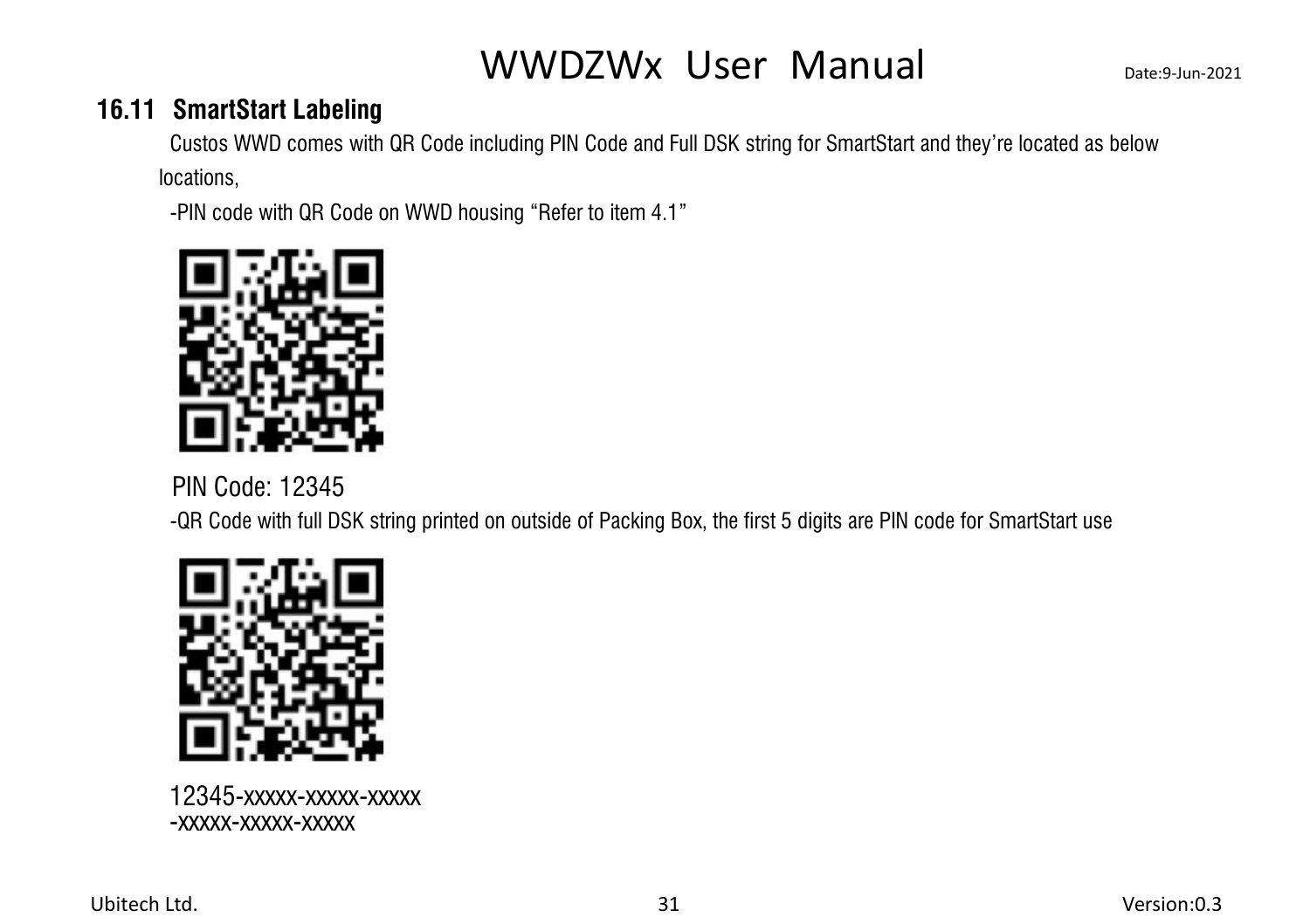### **16.11 SmartStart Labeling**

<span id="page-34-0"></span>Custos WWD comes with QR Code including PIN Code and Full DSK string for SmartStart and they're located as below locations,

-PIN code with QR Code on WWD housing "Refer to item 4.1"



PIN Code: 12345

-QR Code with full DSK string printed on outside of Packing Box, the first 5 digits are PIN code for SmartStart use



12345-xxxxx-xxxxx-xxxxx -xxxxx-xxxxx-xxxxx

Ubitech Ltd. 31 Version:0.3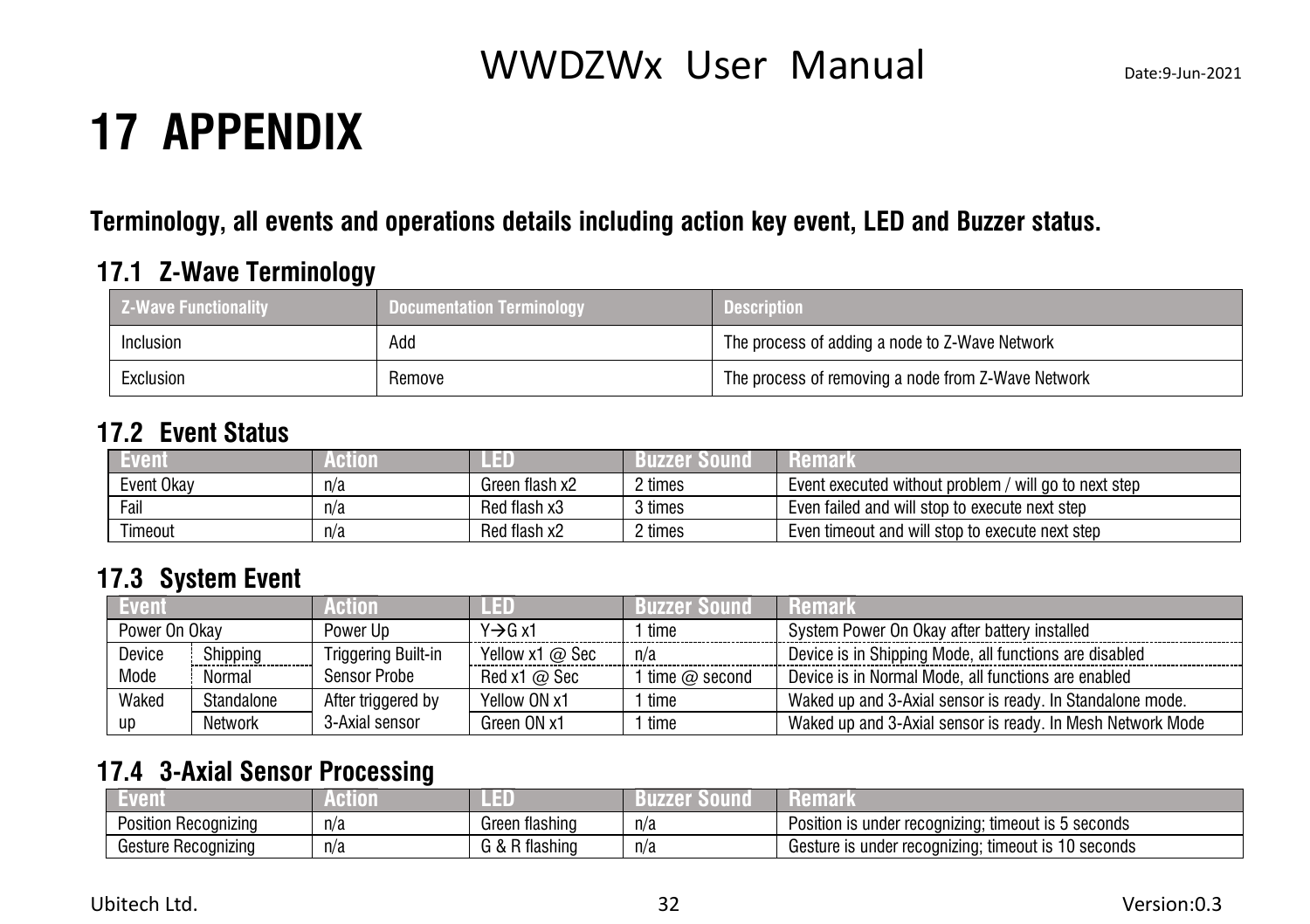## <span id="page-35-0"></span>**17 APPENDIX**

### **Terminology, all events and operations details including action key event, LED and Buzzer status.**

### **17.1 Z-Wave Terminology**

<span id="page-35-1"></span>

| <b>Z-Wave Functionality</b> | <b>Documentation Terminology</b> | <b>Description</b>                                 |  |
|-----------------------------|----------------------------------|----------------------------------------------------|--|
| <b>Inclusion</b>            | Add                              | The process of adding a node to Z-Wave Network     |  |
| Exclusion                   | Remove                           | The process of removing a node from Z-Wave Network |  |

#### **17.2 Event Status**

<span id="page-35-2"></span>

| <b>ven.</b> | (HIII) 1 |                | 1177 E 1 | Remark                                                   |
|-------------|----------|----------------|----------|----------------------------------------------------------|
| Event Okav  | n/a      | Green flash x2 | ? times  | Event executed without problem<br>/ will ao to next step |
| Fail        | n/a      | Red flash x3   | 3 times  | Even failed and will stop to execute next step           |
| Timeout     | n/a      | Red flash x2   | ? times  | Even timeout and will stop to execute next step          |

### <span id="page-35-3"></span>**17.3 System Event**

| <b>Event</b>  |            | Action                     |                 | Buzzer Sound           | <b>Remark</b>                                              |
|---------------|------------|----------------------------|-----------------|------------------------|------------------------------------------------------------|
| Power On Okav |            | Power Up                   | Y→G x1          | time                   | System Power On Okay after battery installed               |
| Device        | Shipping   | <b>Triggering Built-in</b> | Yellow x1 @ Sec | n/a                    | Device is in Shipping Mode, all functions are disabled     |
| Mode          | Normal     | <b>Sensor Probe</b>        | Red x1 $@$ Sec  | 1 time $\varpi$ second | Device is in Normal Mode, all functions are enabled        |
| Waked         | Standalone | After triggered by         | Yellow ON x1    | 1 time                 | Waked up and 3-Axial sensor is ready. In Standalone mode.  |
| up            | Network    | 3-Axial sensor             | Green ON x1     | ' time                 | Waked up and 3-Axial sensor is ready. In Mesh Network Mode |

### <span id="page-35-4"></span>**17.4 3-Axial Sensor Processing**

| 79 I L                     |     |                        |     |                                                                               |
|----------------------------|-----|------------------------|-----|-------------------------------------------------------------------------------|
| Position.<br>· Recognizing | n/a | tlashing<br>Green      | n/a | seconds<br>timeout is 5<br>Position is under<br>recoan<br>zına:               |
| Gesture Recognizing        | n/a | tlashing<br>$\sqrt{ }$ | n/a | 10 seconds<br>: timeout is<br>Gesture is under<br>r recoanizina: <sup>.</sup> |

Ubitech Ltd. 32 Version:0.3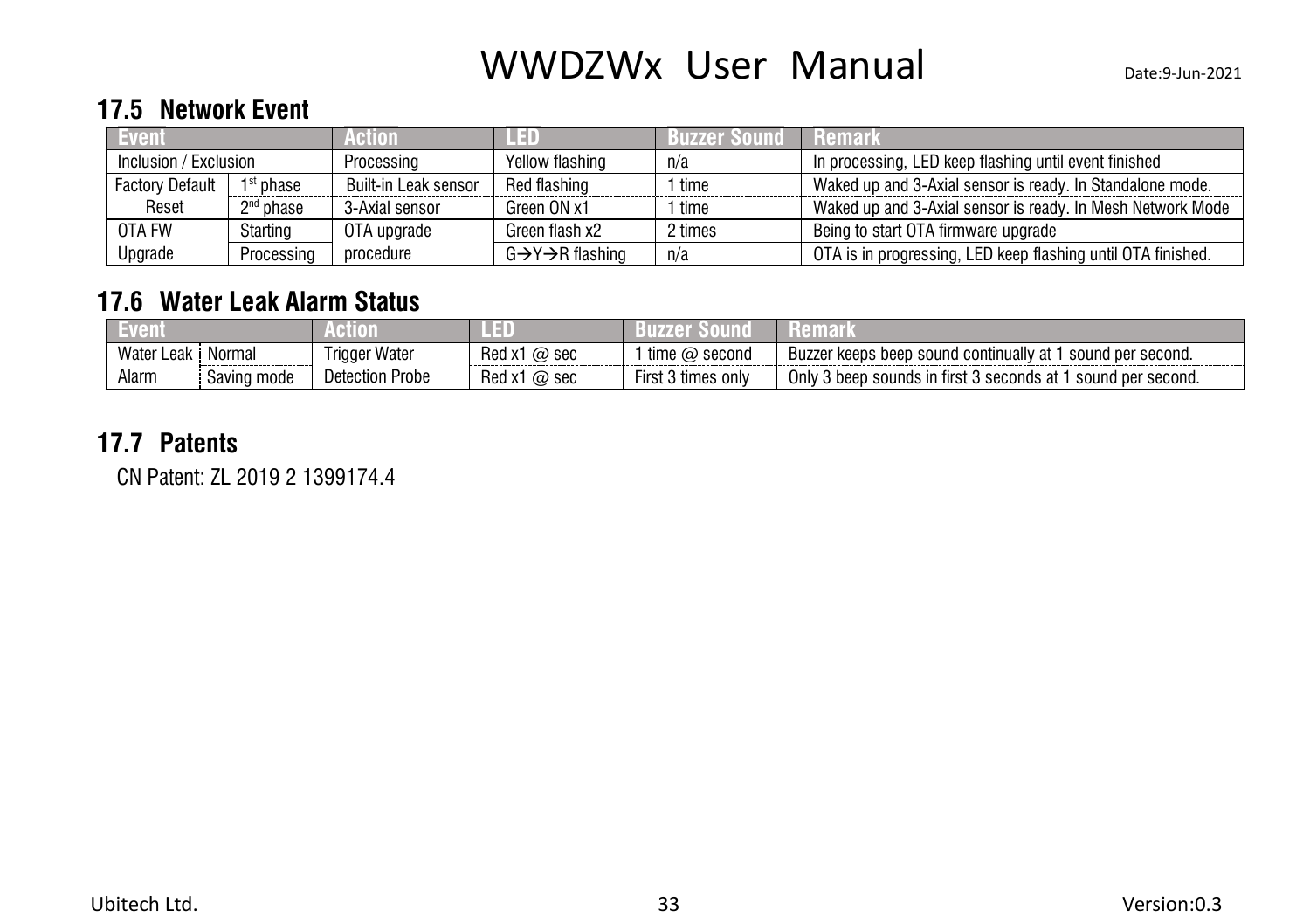#### <span id="page-36-0"></span>**17.5 Network Event**

| L Event                |                       | Action'              |                 | <b>Buzzer Sound</b> | $\blacksquare$ Remark $\blacksquare$                         |
|------------------------|-----------------------|----------------------|-----------------|---------------------|--------------------------------------------------------------|
| Inclusion / Exclusion  |                       | Processing           | Yellow flashing | n/a                 | In processing, LED keep flashing until event finished        |
| <b>Factory Default</b> | 1 <sup>st</sup> phase | Built-in Leak sensor | Red flashing    | ' time              | Waked up and 3-Axial sensor is ready. In Standalone mode.    |
| Reset                  | $2nd$ phase           | 3-Axial sensor       | Green ON x1     | ' time              | Waked up and 3-Axial sensor is ready. In Mesh Network Mode   |
| OTA FW                 | Starting              | OTA upgrade          | Green flash x2  | 2 times             | Being to start OTA firmware upgrade                          |
| Upgrade                | Processing            | procedure            | G→Y→R flashing  | n/a                 | OTA is in progressing, LED keep flashing until OTA finished. |

#### <span id="page-36-1"></span>**17.6 Water Leak Alarm Status**

| Water,<br>Leak | Normal      | Trigger Water      | Red x1<br>$\omega$ sec | time<br>second<br>. (a)                 | l per second.<br>i continually at<br>keeps<br><b>ROUD</b><br>sound<br>Buzze<br>heen |
|----------------|-------------|--------------------|------------------------|-----------------------------------------|-------------------------------------------------------------------------------------|
| Alarm          | Saving mode | Probe<br>Detection | $'$ Red x,<br>@ sec    | $\cdots$<br>First.<br>; onlv<br>, times | Only<br>, sounds in first 3<br>. 3 seconds at 1<br>sound per second.<br>3 beer      |

#### **17.7 Patents**

<span id="page-36-2"></span>CN Patent: ZL 2019 2 1399174.4